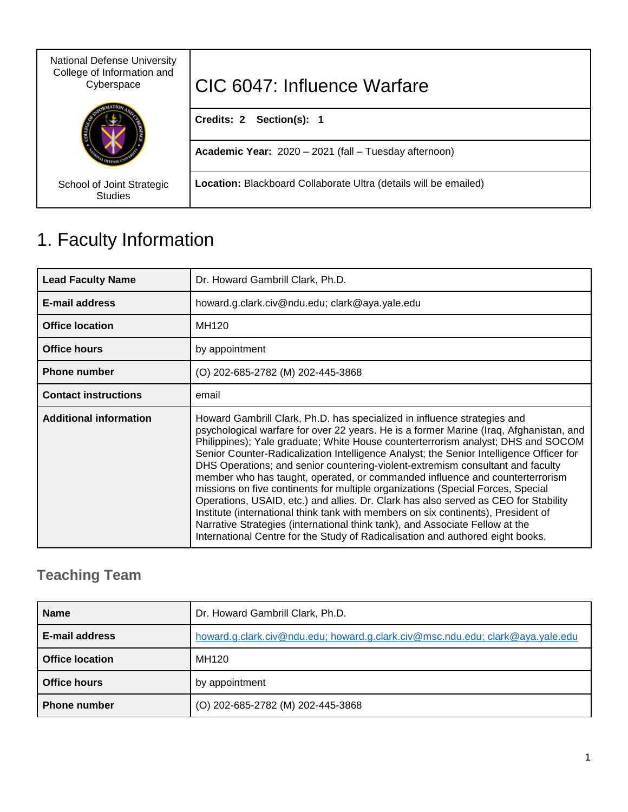| <b>National Defense University</b><br>College of Information and<br>Cyberspace | CIC 6047: Influence Warfare                                      |
|--------------------------------------------------------------------------------|------------------------------------------------------------------|
|                                                                                | Credits: 2 Section(s): 1                                         |
|                                                                                | Academic Year: 2020 - 2021 (fall - Tuesday afternoon)            |
| School of Joint Strategic<br><b>Studies</b>                                    | Location: Blackboard Collaborate Ultra (details will be emailed) |

# 1. Faculty Information

| <b>Lead Faculty Name</b>      | Dr. Howard Gambrill Clark, Ph.D.                                                                                                                                                                                                                                                                                                                                                                                                                                                                                                                                                                                                                                                                                                                                                                                                                                                                                                                     |  |
|-------------------------------|------------------------------------------------------------------------------------------------------------------------------------------------------------------------------------------------------------------------------------------------------------------------------------------------------------------------------------------------------------------------------------------------------------------------------------------------------------------------------------------------------------------------------------------------------------------------------------------------------------------------------------------------------------------------------------------------------------------------------------------------------------------------------------------------------------------------------------------------------------------------------------------------------------------------------------------------------|--|
| <b>E-mail address</b>         | howard.g.clark.civ@ndu.edu; clark@aya.yale.edu                                                                                                                                                                                                                                                                                                                                                                                                                                                                                                                                                                                                                                                                                                                                                                                                                                                                                                       |  |
| <b>Office location</b>        | MH120                                                                                                                                                                                                                                                                                                                                                                                                                                                                                                                                                                                                                                                                                                                                                                                                                                                                                                                                                |  |
| <b>Office hours</b>           | by appointment                                                                                                                                                                                                                                                                                                                                                                                                                                                                                                                                                                                                                                                                                                                                                                                                                                                                                                                                       |  |
| <b>Phone number</b>           | (O) 202-685-2782 (M) 202-445-3868                                                                                                                                                                                                                                                                                                                                                                                                                                                                                                                                                                                                                                                                                                                                                                                                                                                                                                                    |  |
| <b>Contact instructions</b>   | email                                                                                                                                                                                                                                                                                                                                                                                                                                                                                                                                                                                                                                                                                                                                                                                                                                                                                                                                                |  |
| <b>Additional information</b> | Howard Gambrill Clark, Ph.D. has specialized in influence strategies and<br>psychological warfare for over 22 years. He is a former Marine (Iraq, Afghanistan, and<br>Philippines); Yale graduate; White House counterterrorism analyst; DHS and SOCOM<br>Senior Counter-Radicalization Intelligence Analyst; the Senior Intelligence Officer for<br>DHS Operations; and senior countering-violent-extremism consultant and faculty<br>member who has taught, operated, or commanded influence and counterterrorism<br>missions on five continents for multiple organizations (Special Forces, Special<br>Operations, USAID, etc.) and allies. Dr. Clark has also served as CEO for Stability<br>Institute (international think tank with members on six continents), President of<br>Narrative Strategies (international think tank), and Associate Fellow at the<br>International Centre for the Study of Radicalisation and authored eight books. |  |

# **Teaching Team**

| <b>Name</b>            | Dr. Howard Gambrill Clark, Ph.D.                                               |
|------------------------|--------------------------------------------------------------------------------|
| E-mail address         | howard.g.clark.civ@ndu.edu; howard.g.clark.civ@msc.ndu.edu; clark@aya.yale.edu |
| <b>Office location</b> | MH120                                                                          |
| <b>Office hours</b>    | by appointment                                                                 |
| <b>Phone number</b>    | (O) 202-685-2782 (M) 202-445-3868                                              |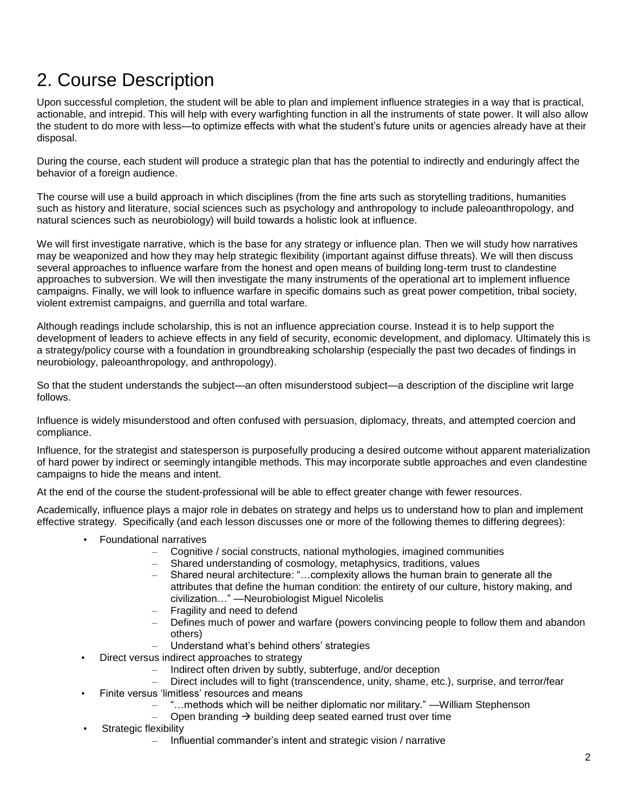# 2. Course Description

Upon successful completion, the student will be able to plan and implement influence strategies in a way that is practical, actionable, and intrepid. This will help with every warfighting function in all the instruments of state power. It will also allow the student to do more with less—to optimize effects with what the student's future units or agencies already have at their disposal.

During the course, each student will produce a strategic plan that has the potential to indirectly and enduringly affect the behavior of a foreign audience.

The course will use a build approach in which disciplines (from the fine arts such as storytelling traditions, humanities such as history and literature, social sciences such as psychology and anthropology to include paleoanthropology, and natural sciences such as neurobiology) will build towards a holistic look at influence.

We will first investigate narrative, which is the base for any strategy or influence plan. Then we will study how narratives may be weaponized and how they may help strategic flexibility (important against diffuse threats). We will then discuss several approaches to influence warfare from the honest and open means of building long-term trust to clandestine approaches to subversion. We will then investigate the many instruments of the operational art to implement influence campaigns. Finally, we will look to influence warfare in specific domains such as great power competition, tribal society, violent extremist campaigns, and guerrilla and total warfare.

Although readings include scholarship, this is not an influence appreciation course. Instead it is to help support the development of leaders to achieve effects in any field of security, economic development, and diplomacy. Ultimately this is a strategy/policy course with a foundation in groundbreaking scholarship (especially the past two decades of findings in neurobiology, paleoanthropology, and anthropology).

So that the student understands the subject—an often misunderstood subject—a description of the discipline writ large follows.

Influence is widely misunderstood and often confused with persuasion, diplomacy, threats, and attempted coercion and compliance.

Influence, for the strategist and statesperson is purposefully producing a desired outcome without apparent materialization of hard power by indirect or seemingly intangible methods. This may incorporate subtle approaches and even clandestine campaigns to hide the means and intent.

At the end of the course the student-professional will be able to effect greater change with fewer resources.

Academically, influence plays a major role in debates on strategy and helps us to understand how to plan and implement effective strategy. Specifically (and each lesson discusses one or more of the following themes to differing degrees):

- Foundational narratives
	- Cognitive / social constructs, national mythologies, imagined communities
	- Shared understanding of cosmology, metaphysics, traditions, values
	- Shared neural architecture: "…complexity allows the human brain to generate all the attributes that define the human condition: the entirety of our culture, history making, and civilization…" —Neurobiologist Miguel Nicolelis
	- Fragility and need to defend
	- Defines much of power and warfare (powers convincing people to follow them and abandon others)
	- Understand what's behind others' strategies
	- Direct versus indirect approaches to strategy
		- Indirect often driven by subtly, subterfuge, and/or deception
		- Direct includes will to fight (transcendence, unity, shame, etc.), surprise, and terror/fear
- Finite versus 'limitless' resources and means
	- "…methods which will be neither diplomatic nor military." —William Stephenson
	- Open branding  $\rightarrow$  building deep seated earned trust over time
- Strategic flexibility
	- Influential commander's intent and strategic vision / narrative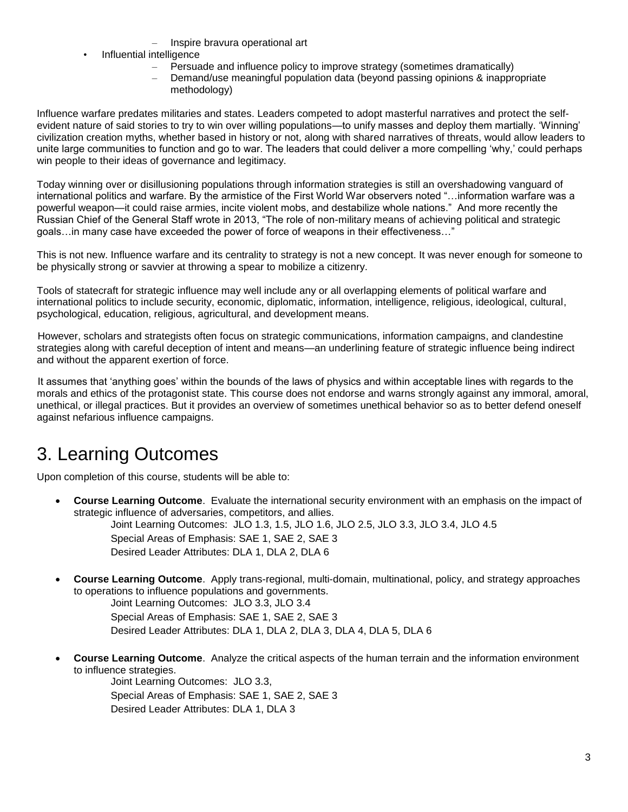- Inspire bravura operational art
- Influential intelligence
	- Persuade and influence policy to improve strategy (sometimes dramatically)
	- Demand/use meaningful population data (beyond passing opinions & inappropriate methodology)

Influence warfare predates militaries and states. Leaders competed to adopt masterful narratives and protect the selfevident nature of said stories to try to win over willing populations—to unify masses and deploy them martially. 'Winning' civilization creation myths, whether based in history or not, along with shared narratives of threats, would allow leaders to unite large communities to function and go to war. The leaders that could deliver a more compelling 'why,' could perhaps win people to their ideas of governance and legitimacy.

Today winning over or disillusioning populations through information strategies is still an overshadowing vanguard of international politics and warfare. By the armistice of the First World War observers noted "…information warfare was a powerful weapon—it could raise armies, incite violent mobs, and destabilize whole nations." And more recently the Russian Chief of the General Staff wrote in 2013, "The role of non-military means of achieving political and strategic goals…in many case have exceeded the power of force of weapons in their effectiveness…"

This is not new. Influence warfare and its centrality to strategy is not a new concept. It was never enough for someone to be physically strong or savvier at throwing a spear to mobilize a citizenry.

Tools of statecraft for strategic influence may well include any or all overlapping elements of political warfare and international politics to include security, economic, diplomatic, information, intelligence, religious, ideological, cultural, psychological, education, religious, agricultural, and development means.

However, scholars and strategists often focus on strategic communications, information campaigns, and clandestine strategies along with careful deception of intent and means—an underlining feature of strategic influence being indirect and without the apparent exertion of force.

It assumes that 'anything goes' within the bounds of the laws of physics and within acceptable lines with regards to the morals and ethics of the protagonist state. This course does not endorse and warns strongly against any immoral, amoral, unethical, or illegal practices. But it provides an overview of sometimes unethical behavior so as to better defend oneself against nefarious influence campaigns.

# 3. Learning Outcomes

Upon completion of this course, students will be able to:

 **Course Learning Outcome**. Evaluate the international security environment with an emphasis on the impact of strategic influence of adversaries, competitors, and allies.

Joint Learning Outcomes: JLO 1.3, 1.5, JLO 1.6, JLO 2.5, JLO 3.3, JLO 3.4, JLO 4.5 Special Areas of Emphasis: SAE 1, SAE 2, SAE 3 Desired Leader Attributes: DLA 1, DLA 2, DLA 6

 **Course Learning Outcome**. Apply trans-regional, multi-domain, multinational, policy, and strategy approaches to operations to influence populations and governments.

Joint Learning Outcomes: JLO 3.3, JLO 3.4 Special Areas of Emphasis: SAE 1, SAE 2, SAE 3 Desired Leader Attributes: DLA 1, DLA 2, DLA 3, DLA 4, DLA 5, DLA 6

 **Course Learning Outcome**. Analyze the critical aspects of the human terrain and the information environment to influence strategies.

Joint Learning Outcomes: JLO 3.3, Special Areas of Emphasis: SAE 1, SAE 2, SAE 3 Desired Leader Attributes: DLA 1, DLA 3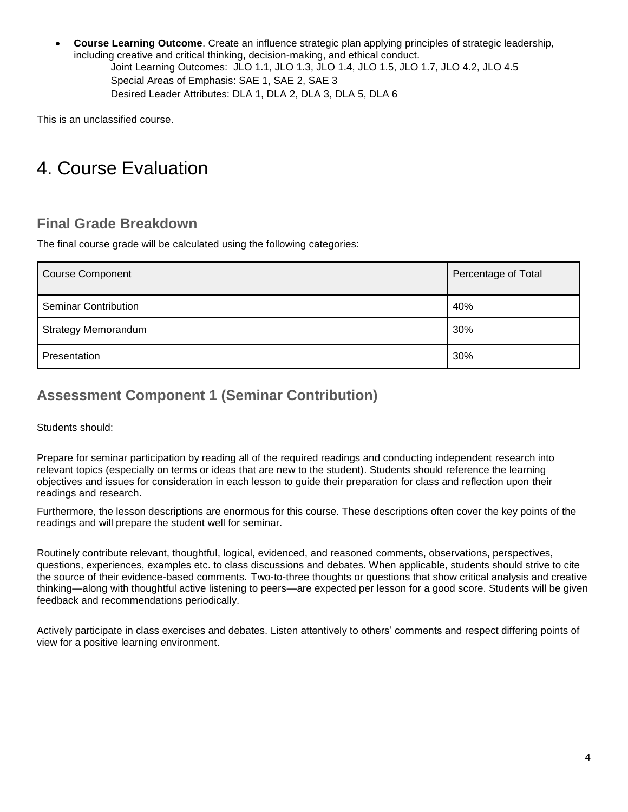**Course Learning Outcome**. Create an influence strategic plan applying principles of strategic leadership, including creative and critical thinking, decision-making, and ethical conduct. Joint Learning Outcomes: JLO 1.1, JLO 1.3, JLO 1.4, JLO 1.5, JLO 1.7, JLO 4.2, JLO 4.5 Special Areas of Emphasis: SAE 1, SAE 2, SAE 3 Desired Leader Attributes: DLA 1, DLA 2, DLA 3, DLA 5, DLA 6

This is an unclassified course.

# 4. Course Evaluation

## **Final Grade Breakdown**

The final course grade will be calculated using the following categories:

| <b>Course Component</b>     | Percentage of Total |
|-----------------------------|---------------------|
| <b>Seminar Contribution</b> | 40%                 |
| <b>Strategy Memorandum</b>  | 30%                 |
| Presentation                | 30%                 |

## **Assessment Component 1 (Seminar Contribution)**

Students should:

Prepare for seminar participation by reading all of the required readings and conducting independent research into relevant topics (especially on terms or ideas that are new to the student). Students should reference the learning objectives and issues for consideration in each lesson to guide their preparation for class and reflection upon their readings and research.

Furthermore, the lesson descriptions are enormous for this course. These descriptions often cover the key points of the readings and will prepare the student well for seminar.

Routinely contribute relevant, thoughtful, logical, evidenced, and reasoned comments, observations, perspectives, questions, experiences, examples etc. to class discussions and debates. When applicable, students should strive to cite the source of their evidence-based comments. Two-to-three thoughts or questions that show critical analysis and creative thinking—along with thoughtful active listening to peers—are expected per lesson for a good score. Students will be given feedback and recommendations periodically.

Actively participate in class exercises and debates. Listen attentively to others' comments and respect differing points of view for a positive learning environment.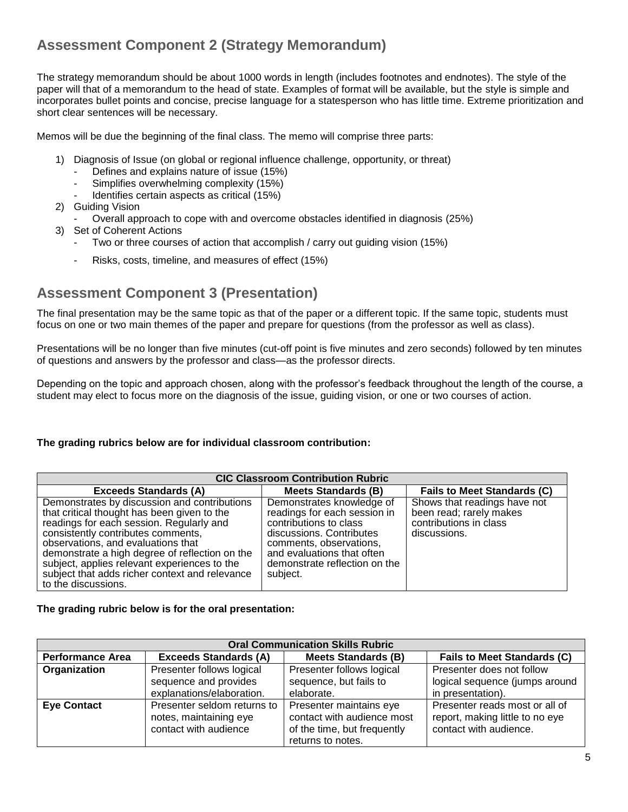## **Assessment Component 2 (Strategy Memorandum)**

The strategy memorandum should be about 1000 words in length (includes footnotes and endnotes). The style of the paper will that of a memorandum to the head of state. Examples of format will be available, but the style is simple and incorporates bullet points and concise, precise language for a statesperson who has little time. Extreme prioritization and short clear sentences will be necessary.

Memos will be due the beginning of the final class. The memo will comprise three parts:

- 1) Diagnosis of Issue (on global or regional influence challenge, opportunity, or threat)
	- Defines and explains nature of issue (15%)
	- Simplifies overwhelming complexity (15%)
	- Identifies certain aspects as critical (15%)
- 2) Guiding Vision
	- Overall approach to cope with and overcome obstacles identified in diagnosis (25%)
- 3) Set of Coherent Actions
	- Two or three courses of action that accomplish / carry out guiding vision (15%)
	- Risks, costs, timeline, and measures of effect (15%)

## **Assessment Component 3 (Presentation)**

The final presentation may be the same topic as that of the paper or a different topic. If the same topic, students must focus on one or two main themes of the paper and prepare for questions (from the professor as well as class).

Presentations will be no longer than five minutes (cut-off point is five minutes and zero seconds) followed by ten minutes of questions and answers by the professor and class—as the professor directs.

Depending on the topic and approach chosen, along with the professor's feedback throughout the length of the course, a student may elect to focus more on the diagnosis of the issue, guiding vision, or one or two courses of action.

#### **The grading rubrics below are for individual classroom contribution:**

| <b>CIC Classroom Contribution Rubric</b>                                                                                                                                                                                                                                                                                                                                                       |                                                                                                                                                                                                                       |                                                                                                   |  |  |  |
|------------------------------------------------------------------------------------------------------------------------------------------------------------------------------------------------------------------------------------------------------------------------------------------------------------------------------------------------------------------------------------------------|-----------------------------------------------------------------------------------------------------------------------------------------------------------------------------------------------------------------------|---------------------------------------------------------------------------------------------------|--|--|--|
| <b>Fails to Meet Standards (C)</b><br><b>Exceeds Standards (A)</b><br><b>Meets Standards (B)</b>                                                                                                                                                                                                                                                                                               |                                                                                                                                                                                                                       |                                                                                                   |  |  |  |
| Demonstrates by discussion and contributions<br>that critical thought has been given to the<br>readings for each session. Regularly and<br>consistently contributes comments,<br>observations, and evaluations that<br>demonstrate a high degree of reflection on the<br>subject, applies relevant experiences to the<br>subject that adds richer context and relevance<br>to the discussions. | Demonstrates knowledge of<br>readings for each session in<br>contributions to class<br>discussions. Contributes<br>comments, observations,<br>and evaluations that often<br>demonstrate reflection on the<br>subject. | Shows that readings have not<br>been read; rarely makes<br>contributions in class<br>discussions. |  |  |  |

#### **The grading rubric below is for the oral presentation:**

| <b>Oral Communication Skills Rubric</b> |                                                                                |                                                                                                           |                                                                                             |  |  |
|-----------------------------------------|--------------------------------------------------------------------------------|-----------------------------------------------------------------------------------------------------------|---------------------------------------------------------------------------------------------|--|--|
| <b>Performance Area</b>                 | <b>Fails to Meet Standards (C)</b>                                             |                                                                                                           |                                                                                             |  |  |
| Organization                            | Presenter follows logical                                                      | Presenter follows logical                                                                                 | Presenter does not follow                                                                   |  |  |
|                                         | sequence and provides                                                          | sequence, but fails to                                                                                    | logical sequence (jumps around                                                              |  |  |
|                                         | explanations/elaboration.                                                      | elaborate.                                                                                                | in presentation).                                                                           |  |  |
| <b>Eye Contact</b>                      | Presenter seldom returns to<br>notes, maintaining eye<br>contact with audience | Presenter maintains eye<br>contact with audience most<br>of the time, but frequently<br>returns to notes. | Presenter reads most or all of<br>report, making little to no eye<br>contact with audience. |  |  |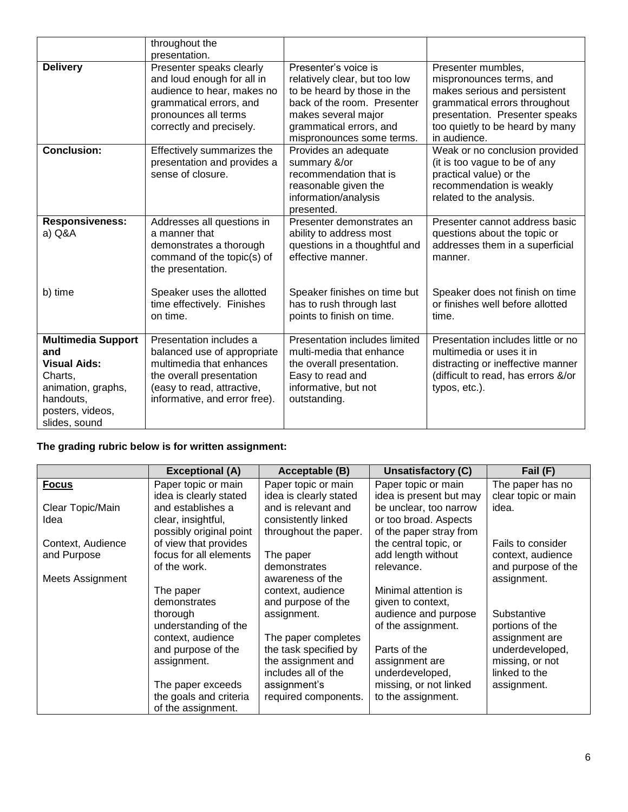|                                                                                                                                            | throughout the<br>presentation.                                                                                                                                               |                                                                                                                                                                                                    |                                                                                                                                                                                                      |
|--------------------------------------------------------------------------------------------------------------------------------------------|-------------------------------------------------------------------------------------------------------------------------------------------------------------------------------|----------------------------------------------------------------------------------------------------------------------------------------------------------------------------------------------------|------------------------------------------------------------------------------------------------------------------------------------------------------------------------------------------------------|
| <b>Delivery</b>                                                                                                                            | Presenter speaks clearly<br>and loud enough for all in<br>audience to hear, makes no<br>grammatical errors, and<br>pronounces all terms<br>correctly and precisely.           | Presenter's voice is<br>relatively clear, but too low<br>to be heard by those in the<br>back of the room. Presenter<br>makes several major<br>grammatical errors, and<br>mispronounces some terms. | Presenter mumbles,<br>mispronounces terms, and<br>makes serious and persistent<br>grammatical errors throughout<br>presentation. Presenter speaks<br>too quietly to be heard by many<br>in audience. |
| <b>Conclusion:</b>                                                                                                                         | Effectively summarizes the<br>presentation and provides a<br>sense of closure.                                                                                                | Provides an adequate<br>summary &/or<br>recommendation that is<br>reasonable given the<br>information/analysis<br>presented.                                                                       | Weak or no conclusion provided<br>(it is too vague to be of any<br>practical value) or the<br>recommendation is weakly<br>related to the analysis.                                                   |
| <b>Responsiveness:</b><br>a) Q&A                                                                                                           | Addresses all questions in<br>a manner that<br>demonstrates a thorough<br>command of the topic(s) of<br>the presentation.                                                     | Presenter demonstrates an<br>ability to address most<br>questions in a thoughtful and<br>effective manner.                                                                                         | Presenter cannot address basic<br>questions about the topic or<br>addresses them in a superficial<br>manner.                                                                                         |
| b) time                                                                                                                                    | Speaker uses the allotted<br>time effectively. Finishes<br>on time.                                                                                                           | Speaker finishes on time but<br>has to rush through last<br>points to finish on time.                                                                                                              | Speaker does not finish on time<br>or finishes well before allotted<br>time.                                                                                                                         |
| <b>Multimedia Support</b><br>and<br><b>Visual Aids:</b><br>Charts,<br>animation, graphs,<br>handouts,<br>posters, videos,<br>slides, sound | Presentation includes a<br>balanced use of appropriate<br>multimedia that enhances<br>the overall presentation<br>(easy to read, attractive,<br>informative, and error free). | Presentation includes limited<br>multi-media that enhance<br>the overall presentation.<br>Easy to read and<br>informative, but not<br>outstanding.                                                 | Presentation includes little or no<br>multimedia or uses it in<br>distracting or ineffective manner<br>(difficult to read, has errors &/or<br>typos, etc.).                                          |

### **The grading rubric below is for written assignment:**

|                         | <b>Exceptional (A)</b>  | Acceptable (B)         | <b>Unsatisfactory (C)</b> | Fail (F)            |
|-------------------------|-------------------------|------------------------|---------------------------|---------------------|
| <b>Focus</b>            | Paper topic or main     | Paper topic or main    | Paper topic or main       | The paper has no    |
|                         | idea is clearly stated  | idea is clearly stated | idea is present but may   | clear topic or main |
| Clear Topic/Main        | and establishes a       | and is relevant and    | be unclear, too narrow    | idea.               |
| Idea                    | clear, insightful,      | consistently linked    | or too broad. Aspects     |                     |
|                         | possibly original point | throughout the paper.  | of the paper stray from   |                     |
| Context, Audience       | of view that provides   |                        | the central topic, or     | Fails to consider   |
| and Purpose             | focus for all elements  | The paper              | add length without        | context, audience   |
|                         | of the work.            | demonstrates           | relevance.                | and purpose of the  |
| <b>Meets Assignment</b> |                         | awareness of the       |                           | assignment.         |
|                         | The paper               | context, audience      | Minimal attention is      |                     |
|                         | demonstrates            | and purpose of the     | given to context,         |                     |
|                         | thorough                | assignment.            | audience and purpose      | Substantive         |
|                         | understanding of the    |                        | of the assignment.        | portions of the     |
|                         | context, audience       | The paper completes    |                           | assignment are      |
|                         | and purpose of the      | the task specified by  | Parts of the              | underdeveloped,     |
|                         | assignment.             | the assignment and     | assignment are            | missing, or not     |
|                         |                         | includes all of the    | underdeveloped,           | linked to the       |
|                         | The paper exceeds       | assignment's           | missing, or not linked    | assignment.         |
|                         | the goals and criteria  | required components.   | to the assignment.        |                     |
|                         | of the assignment.      |                        |                           |                     |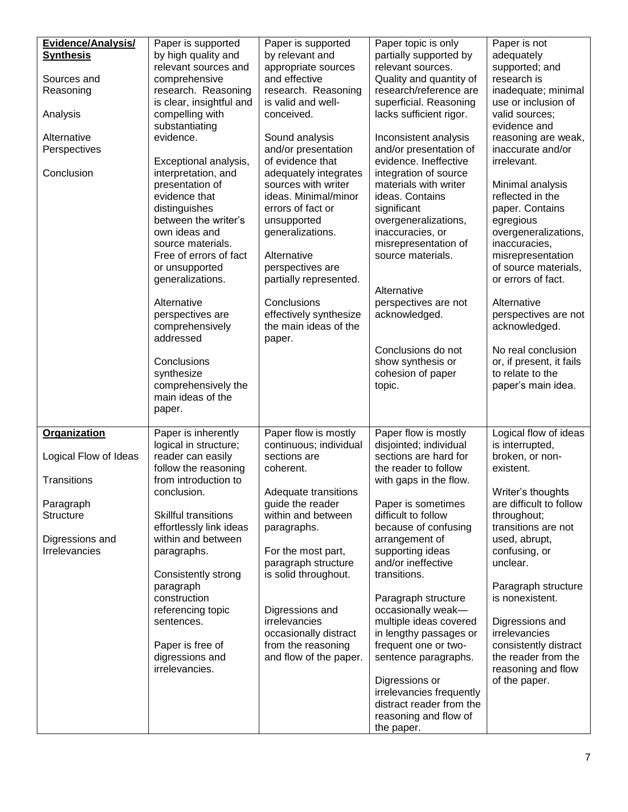| <b>Evidence/Analysis/</b> | Paper is supported                       | Paper is supported     | Paper topic is only      | Paper is not             |
|---------------------------|------------------------------------------|------------------------|--------------------------|--------------------------|
| <b>Synthesis</b>          | by high quality and                      | by relevant and        | partially supported by   | adequately               |
|                           | relevant sources and                     | appropriate sources    | relevant sources.        | supported; and           |
| Sources and               | comprehensive                            | and effective          | Quality and quantity of  | research is              |
| Reasoning                 | research. Reasoning                      | research. Reasoning    | research/reference are   | inadequate; minimal      |
|                           | is clear, insightful and                 | is valid and well-     | superficial. Reasoning   | use or inclusion of      |
| Analysis                  | compelling with                          | conceived.             | lacks sufficient rigor.  | valid sources;           |
|                           | substantiating                           |                        |                          | evidence and             |
| Alternative               | evidence.                                | Sound analysis         | Inconsistent analysis    | reasoning are weak,      |
| Perspectives              |                                          | and/or presentation    | and/or presentation of   | inaccurate and/or        |
|                           | Exceptional analysis,                    | of evidence that       | evidence. Ineffective    | irrelevant.              |
| Conclusion                | interpretation, and                      | adequately integrates  | integration of source    |                          |
|                           | presentation of                          | sources with writer    | materials with writer    | Minimal analysis         |
|                           | evidence that                            | ideas. Minimal/minor   | ideas. Contains          | reflected in the         |
|                           | distinguishes                            | errors of fact or      | significant              | paper. Contains          |
|                           | between the writer's                     | unsupported            | overgeneralizations,     | egregious                |
|                           | own ideas and                            | generalizations.       | inaccuracies, or         | overgeneralizations,     |
|                           | source materials.                        |                        | misrepresentation of     | inaccuracies,            |
|                           | Free of errors of fact                   | Alternative            | source materials.        | misrepresentation        |
|                           | or unsupported                           | perspectives are       |                          | of source materials,     |
|                           | generalizations.                         | partially represented. |                          | or errors of fact.       |
|                           |                                          |                        | Alternative              |                          |
|                           | Alternative                              | Conclusions            | perspectives are not     | Alternative              |
|                           | perspectives are                         | effectively synthesize | acknowledged.            | perspectives are not     |
|                           | comprehensively                          | the main ideas of the  |                          | acknowledged.            |
|                           | addressed                                | paper.                 |                          |                          |
|                           |                                          |                        | Conclusions do not       | No real conclusion       |
|                           | Conclusions                              |                        | show synthesis or        | or, if present, it fails |
|                           | synthesize                               |                        | cohesion of paper        | to relate to the         |
|                           | comprehensively the<br>main ideas of the |                        | topic.                   | paper's main idea.       |
|                           |                                          |                        |                          |                          |
|                           | paper.                                   |                        |                          |                          |
| <b>Organization</b>       | Paper is inherently                      | Paper flow is mostly   | Paper flow is mostly     | Logical flow of ideas    |
|                           | logical in structure;                    | continuous; individual | disjointed; individual   | is interrupted,          |
| Logical Flow of Ideas     | reader can easily                        | sections are           | sections are hard for    | broken, or non-          |
|                           | follow the reasoning                     | coherent.              | the reader to follow     | existent.                |
| Transitions               | from introduction to                     |                        | with gaps in the flow.   |                          |
|                           | conclusion.                              | Adequate transitions   |                          | Writer's thoughts        |
| Paragraph                 |                                          | guide the reader       | Paper is sometimes       | are difficult to follow  |
| <b>Structure</b>          | <b>Skillful transitions</b>              | within and between     | difficult to follow      | throughout;              |
|                           | effortlessly link ideas                  | paragraphs.            | because of confusing     | transitions are not      |
| Digressions and           | within and between                       |                        | arrangement of           | used, abrupt,            |
| Irrelevancies             | paragraphs.                              | For the most part,     | supporting ideas         | confusing, or            |
|                           |                                          | paragraph structure    | and/or ineffective       | unclear.                 |
|                           | Consistently strong                      | is solid throughout.   | transitions.             |                          |
|                           | paragraph                                |                        |                          | Paragraph structure      |
|                           | construction                             |                        | Paragraph structure      | is nonexistent.          |
|                           | referencing topic                        | Digressions and        | occasionally weak-       |                          |
|                           | sentences.                               | irrelevancies          | multiple ideas covered   | Digressions and          |
|                           |                                          | occasionally distract  | in lengthy passages or   | irrelevancies            |
|                           | Paper is free of                         | from the reasoning     | frequent one or two-     | consistently distract    |
|                           | digressions and                          | and flow of the paper. | sentence paragraphs.     | the reader from the      |
|                           | irrelevancies.                           |                        |                          | reasoning and flow       |
|                           |                                          |                        | Digressions or           | of the paper.            |
|                           |                                          |                        | irrelevancies frequently |                          |
|                           |                                          |                        | distract reader from the |                          |
|                           |                                          |                        | reasoning and flow of    |                          |
|                           |                                          |                        | the paper.               |                          |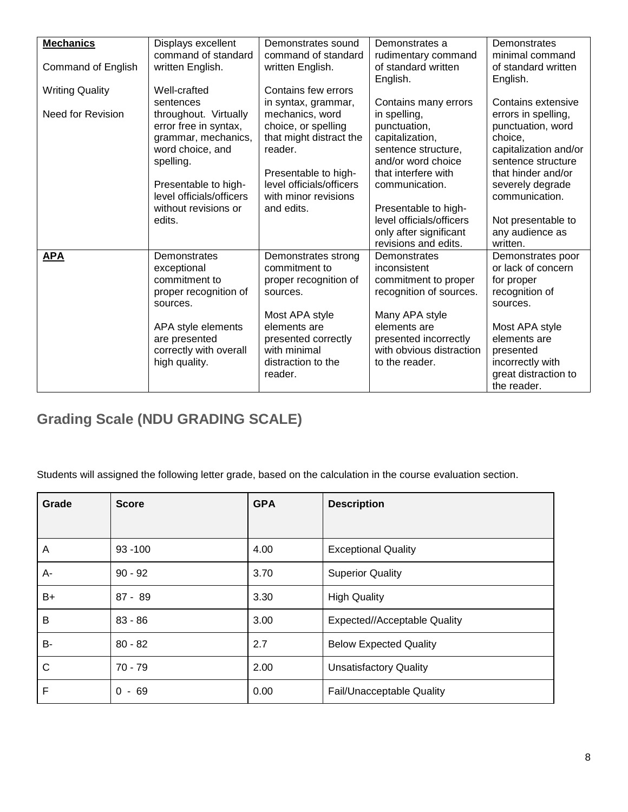| <b>Mechanics</b>       | Displays excellent           | Demonstrates sound       | Demonstrates a           | Demonstrates          |
|------------------------|------------------------------|--------------------------|--------------------------|-----------------------|
|                        | command of standard          | command of standard      | rudimentary command      | minimal command       |
| Command of English     | written English.             | written English.         | of standard written      | of standard written   |
|                        |                              |                          | English.                 | English.              |
| <b>Writing Quality</b> | Well-crafted                 | Contains few errors      |                          |                       |
|                        | sentences                    | in syntax, grammar,      | Contains many errors     | Contains extensive    |
| Need for Revision      | throughout. Virtually        | mechanics, word          | in spelling,             | errors in spelling,   |
|                        | error free in syntax,        | choice, or spelling      | punctuation,             | punctuation, word     |
|                        | grammar, mechanics,          | that might distract the  | capitalization,          | choice,               |
|                        | word choice, and             | reader.                  | sentence structure,      | capitalization and/or |
|                        | spelling.                    |                          | and/or word choice       | sentence structure    |
|                        |                              | Presentable to high-     | that interfere with      | that hinder and/or    |
|                        | Presentable to high-         | level officials/officers | communication.           | severely degrade      |
|                        | level officials/officers     | with minor revisions     |                          | communication.        |
|                        | without revisions or         | and edits.               | Presentable to high-     |                       |
|                        | edits.                       |                          | level officials/officers | Not presentable to    |
|                        |                              |                          | only after significant   | any audience as       |
|                        |                              |                          | revisions and edits.     | written.              |
| <b>APA</b>             | Demonstrates                 | Demonstrates strong      | Demonstrates             | Demonstrates poor     |
|                        |                              | commitment to            | inconsistent             | or lack of concern    |
|                        | exceptional<br>commitment to |                          |                          |                       |
|                        |                              | proper recognition of    | commitment to proper     | for proper            |
|                        | proper recognition of        | sources.                 | recognition of sources.  | recognition of        |
|                        | sources.                     |                          |                          | sources.              |
|                        |                              | Most APA style           | Many APA style           |                       |
|                        | APA style elements           | elements are             | elements are             | Most APA style        |
|                        | are presented                | presented correctly      | presented incorrectly    | elements are          |
|                        | correctly with overall       | with minimal             | with obvious distraction | presented             |
|                        | high quality.                | distraction to the       | to the reader.           | incorrectly with      |
|                        |                              | reader.                  |                          | great distraction to  |
|                        |                              |                          |                          | the reader.           |

## **Grading Scale (NDU GRADING SCALE)**

Students will assigned the following letter grade, based on the calculation in the course evaluation section.

| Grade | <b>Score</b> | <b>GPA</b> | <b>Description</b>            |
|-------|--------------|------------|-------------------------------|
|       |              |            |                               |
| A     | $93 - 100$   | 4.00       | <b>Exceptional Quality</b>    |
| A-    | $90 - 92$    | 3.70       | <b>Superior Quality</b>       |
| B+    | $87 - 89$    | 3.30       | <b>High Quality</b>           |
| B     | $83 - 86$    | 3.00       | Expected//Acceptable Quality  |
| B-    | $80 - 82$    | 2.7        | <b>Below Expected Quality</b> |
| C     | 70 - 79      | 2.00       | <b>Unsatisfactory Quality</b> |
| F     | $0 - 69$     | 0.00       | Fail/Unacceptable Quality     |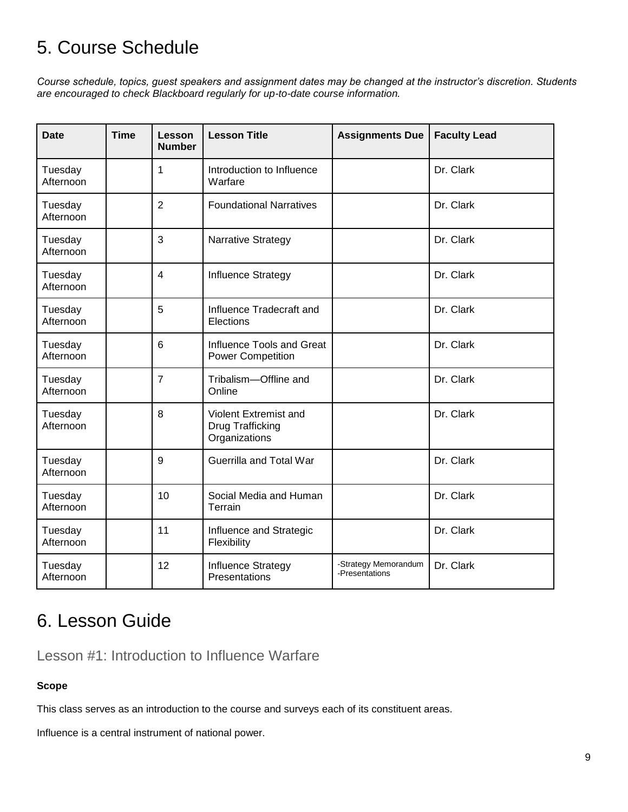# 5. Course Schedule

*Course schedule, topics, guest speakers and assignment dates may be changed at the instructor's discretion. Students are encouraged to check Blackboard regularly for up-to-date course information.*

| <b>Date</b>          | <b>Time</b> | Lesson<br><b>Number</b> | <b>Lesson Title</b>                                               | <b>Assignments Due</b>                 | <b>Faculty Lead</b> |
|----------------------|-------------|-------------------------|-------------------------------------------------------------------|----------------------------------------|---------------------|
| Tuesday<br>Afternoon |             | 1                       | Introduction to Influence<br>Warfare                              |                                        | Dr. Clark           |
| Tuesday<br>Afternoon |             | $\overline{2}$          | <b>Foundational Narratives</b>                                    |                                        | Dr. Clark           |
| Tuesday<br>Afternoon |             | 3                       | Narrative Strategy                                                |                                        | Dr. Clark           |
| Tuesday<br>Afternoon |             | $\overline{4}$          | Influence Strategy                                                |                                        | Dr. Clark           |
| Tuesday<br>Afternoon |             | 5                       | Influence Tradecraft and<br>Elections                             |                                        | Dr. Clark           |
| Tuesday<br>Afternoon |             | 6                       | Influence Tools and Great<br><b>Power Competition</b>             |                                        | Dr. Clark           |
| Tuesday<br>Afternoon |             | $\overline{7}$          | Tribalism-Offline and<br>Online                                   |                                        | Dr. Clark           |
| Tuesday<br>Afternoon |             | 8                       | Violent Extremist and<br><b>Drug Trafficking</b><br>Organizations |                                        | Dr. Clark           |
| Tuesday<br>Afternoon |             | 9                       | Guerrilla and Total War                                           |                                        | Dr. Clark           |
| Tuesday<br>Afternoon |             | 10                      | Social Media and Human<br>Terrain                                 |                                        | Dr. Clark           |
| Tuesday<br>Afternoon |             | 11                      | Influence and Strategic<br>Flexibility                            |                                        | Dr. Clark           |
| Tuesday<br>Afternoon |             | 12                      | Influence Strategy<br>Presentations                               | -Strategy Memorandum<br>-Presentations | Dr. Clark           |

# 6. Lesson Guide

Lesson #1: Introduction to Influence Warfare

#### **Scope**

This class serves as an introduction to the course and surveys each of its constituent areas.

Influence is a central instrument of national power.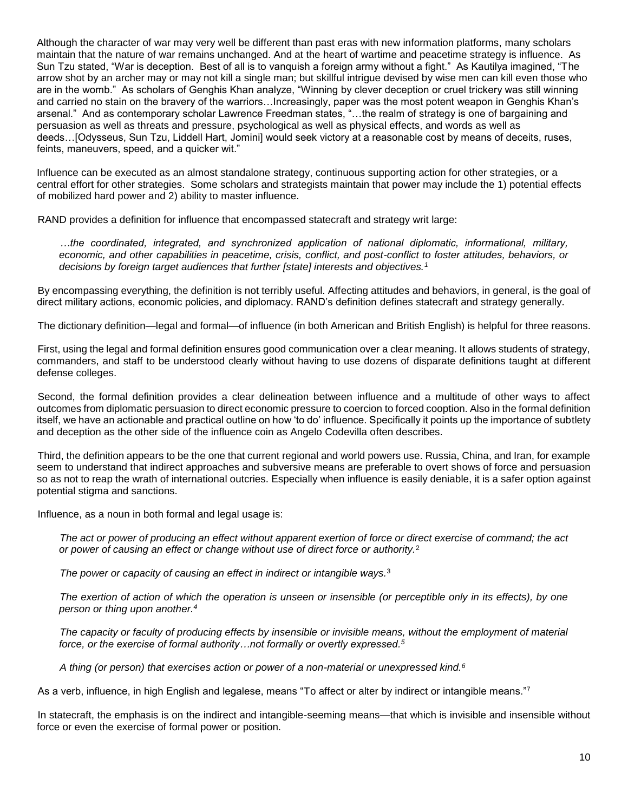Although the character of war may very well be different than past eras with new information platforms, many scholars maintain that the nature of war remains unchanged. And at the heart of wartime and peacetime strategy is influence. As Sun Tzu stated, "War is deception. Best of all is to vanquish a foreign army without a fight." As Kautilya imagined, "The arrow shot by an archer may or may not kill a single man; but skillful intrigue devised by wise men can kill even those who are in the womb." As scholars of Genghis Khan analyze, "Winning by clever deception or cruel trickery was still winning and carried no stain on the bravery of the warriors…Increasingly, paper was the most potent weapon in Genghis Khan's arsenal." And as contemporary scholar Lawrence Freedman states, "…the realm of strategy is one of bargaining and persuasion as well as threats and pressure, psychological as well as physical effects, and words as well as deeds…[Odysseus, Sun Tzu, Liddell Hart, Jomini] would seek victory at a reasonable cost by means of deceits, ruses, feints, maneuvers, speed, and a quicker wit."

Influence can be executed as an almost standalone strategy, continuous supporting action for other strategies, or a central effort for other strategies. Some scholars and strategists maintain that power may include the 1) potential effects of mobilized hard power and 2) ability to master influence.

RAND provides a definition for influence that encompassed statecraft and strategy writ large:

*…the coordinated, integrated, and synchronized application of national diplomatic, informational, military, economic, and other capabilities in peacetime, crisis, conflict, and post-conflict to foster attitudes, behaviors, or decisions by foreign target audiences that further [state] interests and objectives.<sup>1</sup>*

By encompassing everything, the definition is not terribly useful. Affecting attitudes and behaviors, in general, is the goal of direct military actions, economic policies, and diplomacy. RAND's definition defines statecraft and strategy generally.

The dictionary definition—legal and formal—of influence (in both American and British English) is helpful for three reasons.

First, using the legal and formal definition ensures good communication over a clear meaning. It allows students of strategy, commanders, and staff to be understood clearly without having to use dozens of disparate definitions taught at different defense colleges.

Second, the formal definition provides a clear delineation between influence and a multitude of other ways to affect outcomes from diplomatic persuasion to direct economic pressure to coercion to forced cooption. Also in the formal definition itself, we have an actionable and practical outline on how 'to do' influence. Specifically it points up the importance of subtlety and deception as the other side of the influence coin as Angelo Codevilla often describes.

Third, the definition appears to be the one that current regional and world powers use. Russia, China, and Iran, for example seem to understand that indirect approaches and subversive means are preferable to overt shows of force and persuasion so as not to reap the wrath of international outcries. Especially when influence is easily deniable, it is a safer option against potential stigma and sanctions.

Influence, as a noun in both formal and legal usage is:

*The act or power of producing an effect without apparent exertion of force or direct exercise of command; the act or power of causing an effect or change without use of direct force or authority.*<sup>2</sup>

*The power or capacity of causing an effect in indirect or intangible ways.*<sup>3</sup>

*The exertion of action of which the operation is unseen or insensible (or perceptible only in its effects), by one person or thing upon another.<sup>4</sup>*

*The capacity or faculty of producing effects by insensible or invisible means, without the employment of material force, or the exercise of formal authority…not formally or overtly expressed.<sup>5</sup>*

*A thing (or person) that exercises action or power of a non-material or unexpressed kind.<sup>6</sup>*

As a verb, influence, in high English and legalese, means "To affect or alter by indirect or intangible means."<sup>7</sup>

In statecraft, the emphasis is on the indirect and intangible-seeming means—that which is invisible and insensible without force or even the exercise of formal power or position.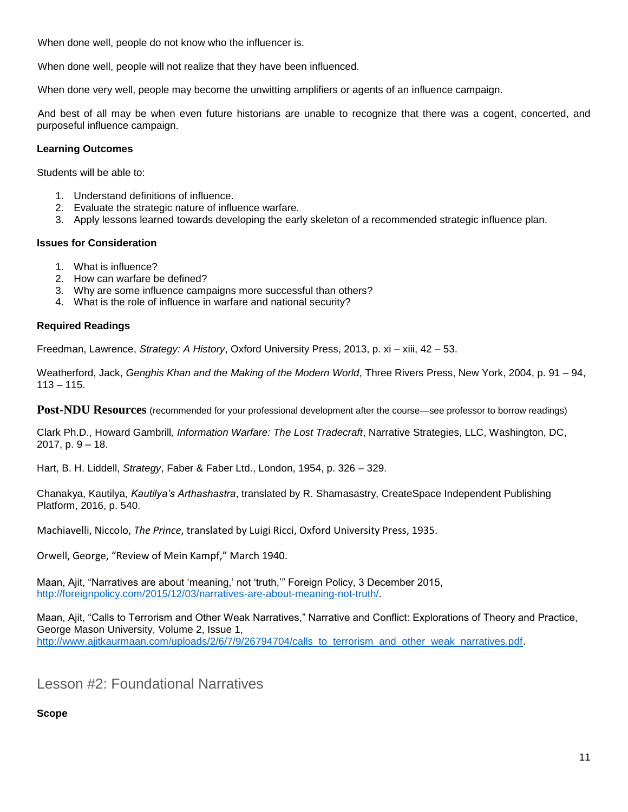When done well, people do not know who the influencer is.

When done well, people will not realize that they have been influenced.

When done very well, people may become the unwitting amplifiers or agents of an influence campaign.

And best of all may be when even future historians are unable to recognize that there was a cogent, concerted, and purposeful influence campaign.

#### **Learning Outcomes**

Students will be able to:

- 1. Understand definitions of influence.
- 2. Evaluate the strategic nature of influence warfare.
- 3. Apply lessons learned towards developing the early skeleton of a recommended strategic influence plan.

#### **Issues for Consideration**

- 1. What is influence?
- 2. How can warfare be defined?
- 3. Why are some influence campaigns more successful than others?
- 4. What is the role of influence in warfare and national security?

#### **Required Readings**

Freedman, Lawrence, *Strategy: A History*, Oxford University Press, 2013, p. xi – xiii, 42 – 53.

Weatherford, Jack, *Genghis Khan and the Making of the Modern World*, Three Rivers Press, New York, 2004, p. 91 – 94,  $113 - 115.$ 

**Post-NDU Resources** (recommended for your professional development after the course—see professor to borrow readings)

Clark Ph.D., Howard Gambrill*, Information Warfare: The Lost Tradecraft*, Narrative Strategies, LLC, Washington, DC, 2017, p. 9 – 18.

Hart, B. H. Liddell, *Strategy*, Faber & Faber Ltd., London, 1954, p. 326 – 329.

Chanakya, Kautilya, *Kautilya's Arthashastra*, translated by R. Shamasastry, CreateSpace Independent Publishing Platform, 2016, p. 540.

Machiavelli, Niccolo, *The Prince*, translated by Luigi Ricci, Oxford University Press, 1935.

Orwell, George, "Review of Mein Kampf," March 1940.

Maan, Ajit, "Narratives are about 'meaning,' not 'truth,'" Foreign Policy, 3 December 2015, [http://foreignpolicy.com/2015/12/03/narratives-are-about-meaning-not-truth/.](http://foreignpolicy.com/2015/12/03/narratives-are-about-meaning-not-truth/)

Maan, Ajit, "Calls to Terrorism and Other Weak Narratives," Narrative and Conflict: Explorations of Theory and Practice, George Mason University, Volume 2, Issue 1, [http://www.ajitkaurmaan.com/uploads/2/6/7/9/26794704/calls\\_to\\_terrorism\\_and\\_other\\_weak\\_narratives.pdf.](http://www.ajitkaurmaan.com/uploads/2/6/7/9/26794704/calls_to_terrorism_and_other_weak_narratives.pdf)

Lesson #2: Foundational Narratives

**Scope**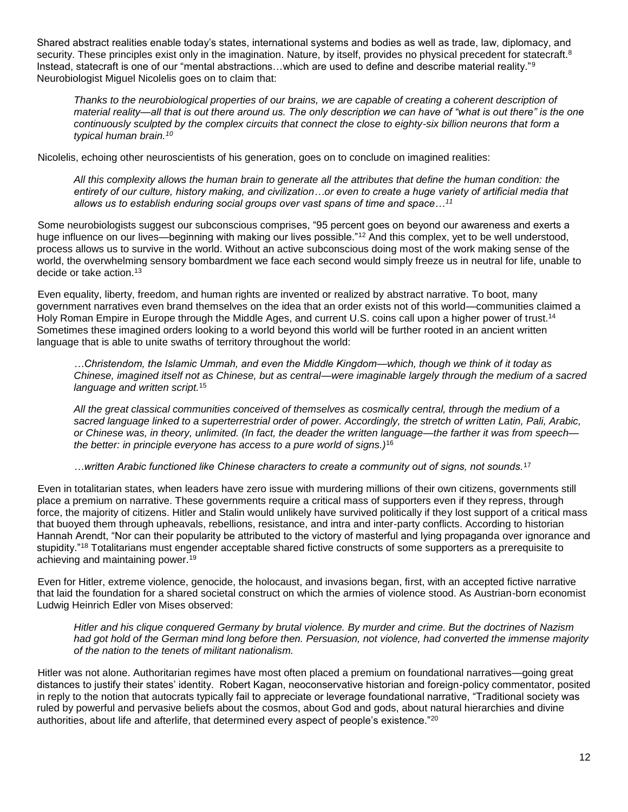Shared abstract realities enable today's states, international systems and bodies as well as trade, law, diplomacy, and security. These principles exist only in the imagination. Nature, by itself, provides no physical precedent for statecraft.<sup>8</sup> Instead, statecraft is one of our "mental abstractions...which are used to define and describe material reality."<sup>9</sup> Neurobiologist Miguel Nicolelis goes on to claim that:

*Thanks to the neurobiological properties of our brains, we are capable of creating a coherent description of material reality—all that is out there around us. The only description we can have of "what is out there" is the one continuously sculpted by the complex circuits that connect the close to eighty-six billion neurons that form a typical human brain.<sup>10</sup>*

Nicolelis, echoing other neuroscientists of his generation, goes on to conclude on imagined realities:

*All this complexity allows the human brain to generate all the attributes that define the human condition: the entirety of our culture, history making, and civilization…or even to create a huge variety of artificial media that allows us to establish enduring social groups over vast spans of time and space…<sup>11</sup>*

Some neurobiologists suggest our subconscious comprises, "95 percent goes on beyond our awareness and exerts a huge influence on our lives—beginning with making our lives possible."<sup>12</sup> And this complex, yet to be well understood, process allows us to survive in the world. Without an active subconscious doing most of the work making sense of the world, the overwhelming sensory bombardment we face each second would simply freeze us in neutral for life, unable to decide or take action.<sup>13</sup>

Even equality, liberty, freedom, and human rights are invented or realized by abstract narrative. To boot, many government narratives even brand themselves on the idea that an order exists not of this world—communities claimed a Holy Roman Empire in Europe through the Middle Ages, and current U.S. coins call upon a higher power of trust.<sup>14</sup> Sometimes these imagined orders looking to a world beyond this world will be further rooted in an ancient written language that is able to unite swaths of territory throughout the world:

*…Christendom, the Islamic Ummah, and even the Middle Kingdom—which, though we think of it today as Chinese, imagined itself not as Chinese, but as central—were imaginable largely through the medium of a sacred language and written script.*<sup>15</sup>

*All the great classical communities conceived of themselves as cosmically central, through the medium of a sacred language linked to a superterrestrial order of power. Accordingly, the stretch of written Latin, Pali, Arabic, or Chinese was, in theory, unlimited. (In fact, the deader the written language—the farther it was from speech the better: in principle everyone has access to a pure world of signs.)*<sup>16</sup>

*…written Arabic functioned like Chinese characters to create a community out of signs, not sounds.*<sup>17</sup>

Even in totalitarian states, when leaders have zero issue with murdering millions of their own citizens, governments still place a premium on narrative. These governments require a critical mass of supporters even if they repress, through force, the majority of citizens. Hitler and Stalin would unlikely have survived politically if they lost support of a critical mass that buoyed them through upheavals, rebellions, resistance, and intra and inter-party conflicts. According to historian Hannah Arendt, "Nor can their popularity be attributed to the victory of masterful and lying propaganda over ignorance and stupidity."<sup>18</sup> Totalitarians must engender acceptable shared fictive constructs of some supporters as a prerequisite to achieving and maintaining power.<sup>19</sup>

Even for Hitler, extreme violence, genocide, the holocaust, and invasions began, first, with an accepted fictive narrative that laid the foundation for a shared societal construct on which the armies of violence stood. As Austrian-born economist Ludwig Heinrich Edler von Mises observed:

*Hitler and his clique conquered Germany by brutal violence. By murder and crime. But the doctrines of Nazism had got hold of the German mind long before then. Persuasion, not violence, had converted the immense majority of the nation to the tenets of militant nationalism.*

Hitler was not alone. Authoritarian regimes have most often placed a premium on foundational narratives—going great distances to justify their states' identity. Robert Kagan, neoconservative historian and foreign-policy commentator, posited in reply to the notion that autocrats typically fail to appreciate or leverage foundational narrative, "Traditional society was ruled by powerful and pervasive beliefs about the cosmos, about God and gods, about natural hierarchies and divine authorities, about life and afterlife, that determined every aspect of people's existence."20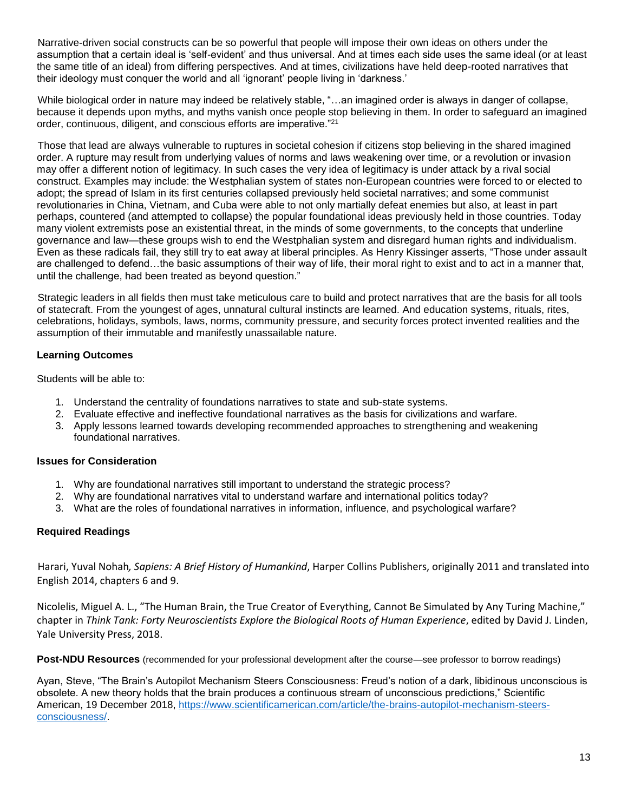Narrative-driven social constructs can be so powerful that people will impose their own ideas on others under the assumption that a certain ideal is 'self-evident' and thus universal. And at times each side uses the same ideal (or at least the same title of an ideal) from differing perspectives. And at times, civilizations have held deep-rooted narratives that their ideology must conquer the world and all 'ignorant' people living in 'darkness.'

While biological order in nature may indeed be relatively stable, "…an imagined order is always in danger of collapse, because it depends upon myths, and myths vanish once people stop believing in them. In order to safeguard an imagined order, continuous, diligent, and conscious efforts are imperative."<sup>21</sup>

Those that lead are always vulnerable to ruptures in societal cohesion if citizens stop believing in the shared imagined order. A rupture may result from underlying values of norms and laws weakening over time, or a revolution or invasion may offer a different notion of legitimacy. In such cases the very idea of legitimacy is under attack by a rival social construct. Examples may include: the Westphalian system of states non-European countries were forced to or elected to adopt; the spread of Islam in its first centuries collapsed previously held societal narratives; and some communist revolutionaries in China, Vietnam, and Cuba were able to not only martially defeat enemies but also, at least in part perhaps, countered (and attempted to collapse) the popular foundational ideas previously held in those countries. Today many violent extremists pose an existential threat, in the minds of some governments, to the concepts that underline governance and law—these groups wish to end the Westphalian system and disregard human rights and individualism. Even as these radicals fail, they still try to eat away at liberal principles. As Henry Kissinger asserts, "Those under assault are challenged to defend…the basic assumptions of their way of life, their moral right to exist and to act in a manner that, until the challenge, had been treated as beyond question."

Strategic leaders in all fields then must take meticulous care to build and protect narratives that are the basis for all tools of statecraft. From the youngest of ages, unnatural cultural instincts are learned. And education systems, rituals, rites, celebrations, holidays, symbols, laws, norms, community pressure, and security forces protect invented realities and the assumption of their immutable and manifestly unassailable nature.

#### **Learning Outcomes**

Students will be able to:

- 1. Understand the centrality of foundations narratives to state and sub-state systems.
- 2. Evaluate effective and ineffective foundational narratives as the basis for civilizations and warfare.
- 3. Apply lessons learned towards developing recommended approaches to strengthening and weakening foundational narratives.

#### **Issues for Consideration**

- 1. Why are foundational narratives still important to understand the strategic process?
- 2. Why are foundational narratives vital to understand warfare and international politics today?
- 3. What are the roles of foundational narratives in information, influence, and psychological warfare?

#### **Required Readings**

Harari, Yuval Nohah*, Sapiens: A Brief History of Humankind*, Harper Collins Publishers, originally 2011 and translated into English 2014, chapters 6 and 9.

Nicolelis, Miguel A. L., "The Human Brain, the True Creator of Everything, Cannot Be Simulated by Any Turing Machine," chapter in *Think Tank: Forty Neuroscientists Explore the Biological Roots of Human Experience*, edited by David J. Linden, Yale University Press, 2018.

**Post-NDU Resources** (recommended for your professional development after the course—see professor to borrow readings)

Ayan, Steve, "The Brain's Autopilot Mechanism Steers Consciousness: Freud's notion of a dark, libidinous unconscious is obsolete. A new theory holds that the brain produces a continuous stream of unconscious predictions," Scientific American, 19 December 2018, [https://www.scientificamerican.com/article/the-brains-autopilot-mechanism-steers](https://www.scientificamerican.com/article/the-brains-autopilot-mechanism-steers-consciousness/)[consciousness/.](https://www.scientificamerican.com/article/the-brains-autopilot-mechanism-steers-consciousness/)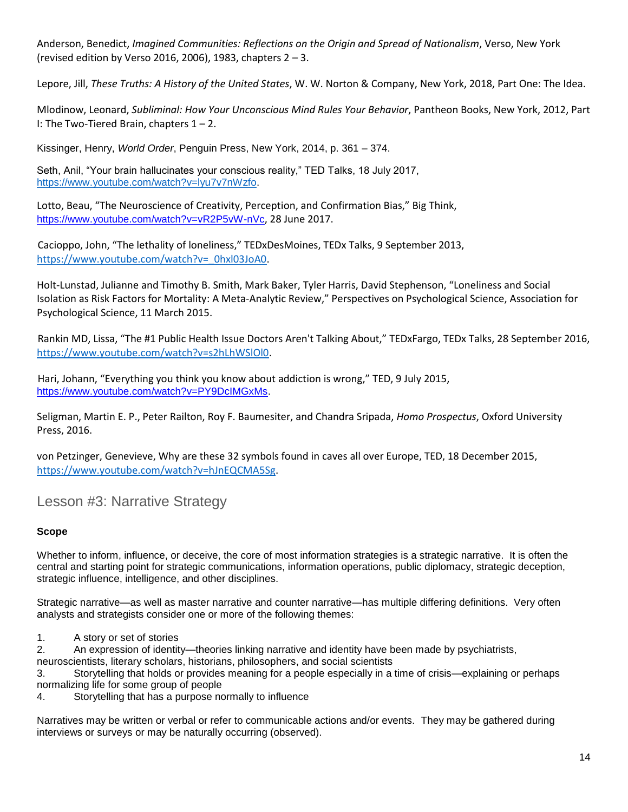Anderson, Benedict, *Imagined Communities: Reflections on the Origin and Spread of Nationalism*, Verso, New York (revised edition by Verso 2016, 2006), 1983, chapters  $2 - 3$ .

Lepore, Jill, *These Truths: A History of the United States*, W. W. Norton & Company, New York, 2018, Part One: The Idea.

Mlodinow, Leonard, *Subliminal: How Your Unconscious Mind Rules Your Behavior*, Pantheon Books, New York, 2012, Part I: The Two-Tiered Brain, chapters  $1 - 2$ .

Kissinger, Henry, *World Order*, Penguin Press, New York, 2014, p. 361 – 374.

Seth, Anil, "Your brain hallucinates your conscious reality," TED Talks, 18 July 2017, [https://www.youtube.com/watch?v=lyu7v7nWzfo.](https://www.youtube.com/watch?v=lyu7v7nWzfo)

Lotto, Beau, "The Neuroscience of Creativity, Perception, and Confirmation Bias," Big Think, <https://www.youtube.com/watch?v=vR2P5vW-nVc>, 28 June 2017.

Cacioppo, John, "The lethality of loneliness," TEDxDesMoines, TEDx Talks, 9 September 2013, [https://www.youtube.com/watch?v=\\_0hxl03JoA0.](https://www.youtube.com/watch?v=_0hxl03JoA0)

Holt-Lunstad, Julianne and Timothy B. Smith, Mark Baker, Tyler Harris, David Stephenson, "Loneliness and Social Isolation as Risk Factors for Mortality: A Meta-Analytic Review," Perspectives on Psychological Science, Association for Psychological Science, 11 March 2015.

Rankin MD, Lissa, "The #1 Public Health Issue Doctors Aren't Talking About," TEDxFargo, TEDx Talks, 28 September 2016, [https://www.youtube.com/watch?v=s2hLhWSlOl0.](https://www.youtube.com/watch?v=s2hLhWSlOl0)

Hari, Johann, "Everything you think you know about addiction is wrong," TED, 9 July 2015, [https://www.youtube.com/watch?v=PY9DcIMGxMs.](https://www.youtube.com/watch?v=PY9DcIMGxMs)

Seligman, Martin E. P., Peter Railton, Roy F. Baumesiter, and Chandra Sripada, *Homo Prospectus*, Oxford University Press, 2016.

von Petzinger, Genevieve, Why are these 32 symbols found in caves all over Europe, TED, 18 December 2015, [https://www.youtube.com/watch?v=hJnEQCMA5Sg.](https://www.youtube.com/watch?v=hJnEQCMA5Sg)

Lesson #3: Narrative Strategy

#### **Scope**

Whether to inform, influence, or deceive, the core of most information strategies is a strategic narrative. It is often the central and starting point for strategic communications, information operations, public diplomacy, strategic deception, strategic influence, intelligence, and other disciplines.

Strategic narrative—as well as master narrative and counter narrative—has multiple differing definitions. Very often analysts and strategists consider one or more of the following themes:

1. A story or set of stories

2. An expression of identity—theories linking narrative and identity have been made by psychiatrists,

neuroscientists, literary scholars, historians, philosophers, and social scientists

3. Storytelling that holds or provides meaning for a people especially in a time of crisis—explaining or perhaps normalizing life for some group of people

4. Storytelling that has a purpose normally to influence

Narratives may be written or verbal or refer to communicable actions and/or events. They may be gathered during interviews or surveys or may be naturally occurring (observed).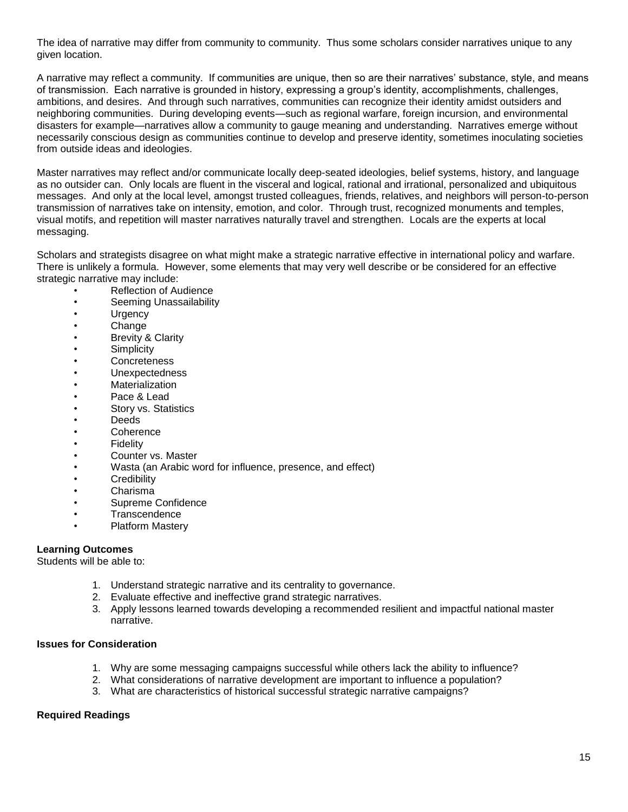The idea of narrative may differ from community to community. Thus some scholars consider narratives unique to any given location.

A narrative may reflect a community. If communities are unique, then so are their narratives' substance, style, and means of transmission. Each narrative is grounded in history, expressing a group's identity, accomplishments, challenges, ambitions, and desires. And through such narratives, communities can recognize their identity amidst outsiders and neighboring communities. During developing events—such as regional warfare, foreign incursion, and environmental disasters for example—narratives allow a community to gauge meaning and understanding. Narratives emerge without necessarily conscious design as communities continue to develop and preserve identity, sometimes inoculating societies from outside ideas and ideologies.

Master narratives may reflect and/or communicate locally deep-seated ideologies, belief systems, history, and language as no outsider can. Only locals are fluent in the visceral and logical, rational and irrational, personalized and ubiquitous messages. And only at the local level, amongst trusted colleagues, friends, relatives, and neighbors will person-to-person transmission of narratives take on intensity, emotion, and color. Through trust, recognized monuments and temples, visual motifs, and repetition will master narratives naturally travel and strengthen. Locals are the experts at local messaging.

Scholars and strategists disagree on what might make a strategic narrative effective in international policy and warfare. There is unlikely a formula. However, some elements that may very well describe or be considered for an effective strategic narrative may include:

- Reflection of Audience
- Seeming Unassailability
- Urgency
- **Change**
- Brevity & Clarity
- **Simplicity**
- **Concreteness**
- **Unexpectedness**
- **Materialization**
- Pace & Lead
- Story vs. Statistics
- Deeds
- Coherence
- Fidelity
- Counter vs. Master
- Wasta (an Arabic word for influence, presence, and effect)
- **Credibility**
- Charisma
- Supreme Confidence
- **Transcendence**
- Platform Mastery

#### **Learning Outcomes**

Students will be able to:

- 1. Understand strategic narrative and its centrality to governance.
- 2. Evaluate effective and ineffective grand strategic narratives.
- 3. Apply lessons learned towards developing a recommended resilient and impactful national master narrative.

#### **Issues for Consideration**

- 1. Why are some messaging campaigns successful while others lack the ability to influence?
- 2. What considerations of narrative development are important to influence a population?
- 3. What are characteristics of historical successful strategic narrative campaigns?

#### **Required Readings**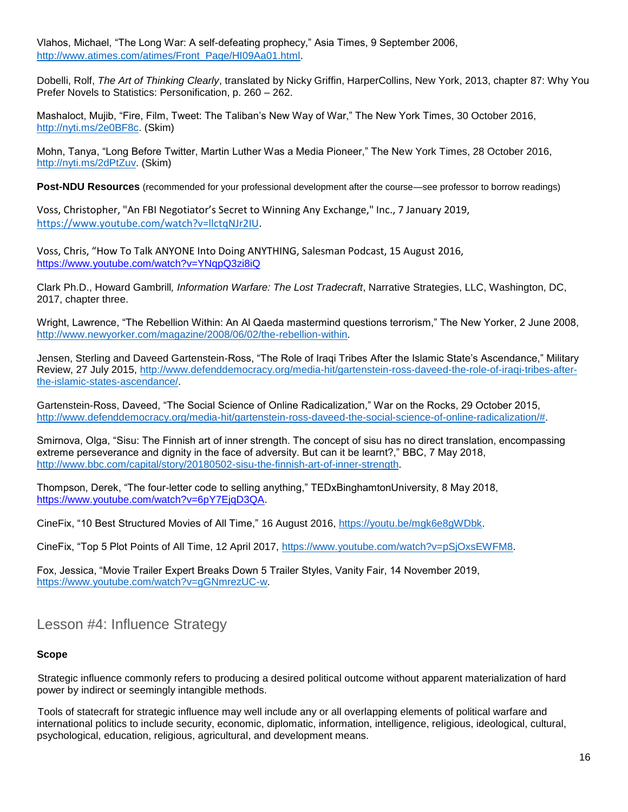Vlahos, Michael, "The Long War: A self-defeating prophecy," Asia Times, 9 September 2006, [http://www.atimes.com/atimes/Front\\_Page/HI09Aa01.html.](http://www.atimes.com/atimes/Front_Page/HI09Aa01.html)

Dobelli, Rolf, *The Art of Thinking Clearly*, translated by Nicky Griffin, HarperCollins, New York, 2013, chapter 87: Why You Prefer Novels to Statistics: Personification, p. 260 – 262.

Mashaloct, Mujib, "Fire, Film, Tweet: The Taliban's New Way of War," The New York Times, 30 October 2016, [http://nyti.ms/2e0BF8c.](http://nyti.ms/2e0BF8c) (Skim)

Mohn, Tanya, "Long Before Twitter, Martin Luther Was a Media Pioneer," The New York Times, 28 October 2016, [http://nyti.ms/2dPtZuv.](http://nyti.ms/2dPtZuv) (Skim)

**Post-NDU Resources** (recommended for your professional development after the course—see professor to borrow readings)

Voss, Christopher, "An FBI Negotiator's Secret to Winning Any Exchange," Inc., 7 January 2019, [https://www.youtube.com/watch?v=llctqNJr2IU.](https://www.youtube.com/watch?v=llctqNJr2IU)

Voss, Chris, "How To Talk ANYONE Into Doing ANYTHING, Salesman Podcast, 15 August 2016, <https://www.youtube.com/watch?v=YNqpQ3zi8iQ>

Clark Ph.D., Howard Gambrill*, Information Warfare: The Lost Tradecraft*, Narrative Strategies, LLC, Washington, DC, 2017, chapter three.

Wright, Lawrence, "The Rebellion Within: An Al Qaeda mastermind questions terrorism," The New Yorker, 2 June 2008, [http://www.newyorker.com/magazine/2008/06/02/the-rebellion-within.](http://www.newyorker.com/magazine/2008/06/02/the-rebellion-within)

Jensen, Sterling and Daveed Gartenstein-Ross, "The Role of Iraqi Tribes After the Islamic State's Ascendance," Military Review, 27 July 2015, [http://www.defenddemocracy.org/media-hit/gartenstein-ross-daveed-the-role-of-iraqi-tribes-after](http://www.defenddemocracy.org/media-hit/gartenstein-ross-daveed-the-role-of-iraqi-tribes-after-the-islamic-states-ascendance/)[the-islamic-states-ascendance/.](http://www.defenddemocracy.org/media-hit/gartenstein-ross-daveed-the-role-of-iraqi-tribes-after-the-islamic-states-ascendance/)

Gartenstein-Ross, Daveed, "The Social Science of Online Radicalization," War on the Rocks, 29 October 2015, [http://www.defenddemocracy.org/media-hit/gartenstein-ross-daveed-the-social-science-of-online-radicalization/#.](http://www.defenddemocracy.org/media-hit/gartenstein-ross-daveed-the-social-science-of-online-radicalization/)

Smirnova, Olga, "Sisu: The Finnish art of inner strength. The concept of sisu has no direct translation, encompassing extreme perseverance and dignity in the face of adversity. But can it be learnt?," BBC, 7 May 2018, [http://www.bbc.com/capital/story/20180502-sisu-the-finnish-art-of-inner-strength.](http://www.bbc.com/capital/story/20180502-sisu-the-finnish-art-of-inner-strength)

Thompson, Derek, "The four-letter code to selling anything," TEDxBinghamtonUniversity, 8 May 2018, [https://www.youtube.com/watch?v=6pY7EjqD3QA.](https://www.youtube.com/watch?v=6pY7EjqD3QA)

CineFix, "10 Best Structured Movies of All Time," 16 August 2016, [https://youtu.be/mgk6e8gWDbk.](https://youtu.be/mgk6e8gWDbk)

CineFix, "Top 5 Plot Points of All Time, 12 April 2017, [https://www.youtube.com/watch?v=pSjOxsEWFM8.](https://www.youtube.com/watch?v=pSjOxsEWFM8)

Fox, Jessica, "Movie Trailer Expert Breaks Down 5 Trailer Styles, Vanity Fair, 14 November 2019, [https://www.youtube.com/watch?v=gGNmrezUC-w.](https://www.youtube.com/watch?v=gGNmrezUC-w)

Lesson #4: Influence Strategy

#### **Scope**

Strategic influence commonly refers to producing a desired political outcome without apparent materialization of hard power by indirect or seemingly intangible methods.

Tools of statecraft for strategic influence may well include any or all overlapping elements of political warfare and international politics to include security, economic, diplomatic, information, intelligence, religious, ideological, cultural, psychological, education, religious, agricultural, and development means.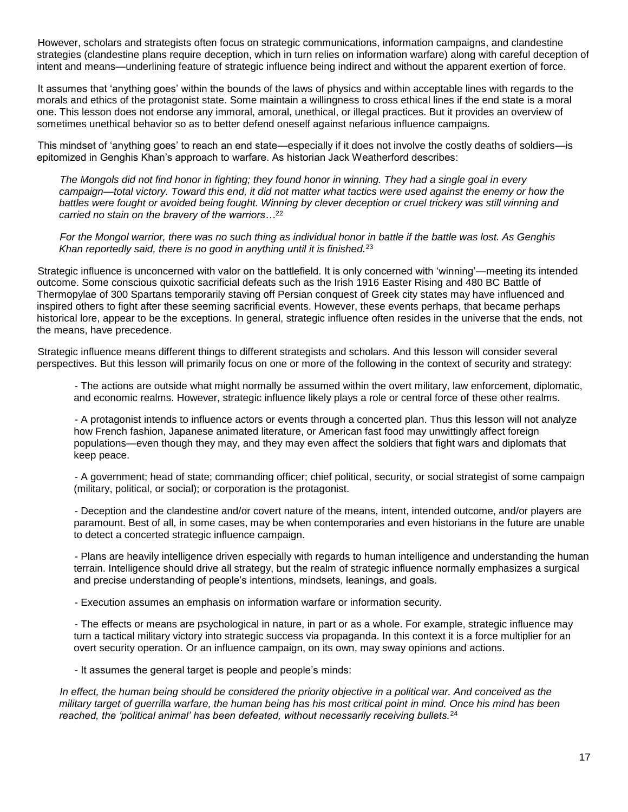However, scholars and strategists often focus on strategic communications, information campaigns, and clandestine strategies (clandestine plans require deception, which in turn relies on information warfare) along with careful deception of intent and means—underlining feature of strategic influence being indirect and without the apparent exertion of force.

It assumes that 'anything goes' within the bounds of the laws of physics and within acceptable lines with regards to the morals and ethics of the protagonist state. Some maintain a willingness to cross ethical lines if the end state is a moral one. This lesson does not endorse any immoral, amoral, unethical, or illegal practices. But it provides an overview of sometimes unethical behavior so as to better defend oneself against nefarious influence campaigns.

This mindset of 'anything goes' to reach an end state—especially if it does not involve the costly deaths of soldiers—is epitomized in Genghis Khan's approach to warfare. As historian Jack Weatherford describes:

*The Mongols did not find honor in fighting; they found honor in winning. They had a single goal in every*  campaign—total victory. Toward this end, it did not matter what tactics were used against the enemy or how the *battles were fought or avoided being fought. Winning by clever deception or cruel trickery was still winning and carried no stain on the bravery of the warriors…*<sup>22</sup>

*For the Mongol warrior, there was no such thing as individual honor in battle if the battle was lost. As Genghis Khan reportedly said, there is no good in anything until it is finished.*<sup>23</sup>

Strategic influence is unconcerned with valor on the battlefield. It is only concerned with 'winning'—meeting its intended outcome. Some conscious quixotic sacrificial defeats such as the Irish 1916 Easter Rising and 480 BC Battle of Thermopylae of 300 Spartans temporarily staving off Persian conquest of Greek city states may have influenced and inspired others to fight after these seeming sacrificial events. However, these events perhaps, that became perhaps historical lore, appear to be the exceptions. In general, strategic influence often resides in the universe that the ends, not the means, have precedence.

Strategic influence means different things to different strategists and scholars. And this lesson will consider several perspectives. But this lesson will primarily focus on one or more of the following in the context of security and strategy:

- The actions are outside what might normally be assumed within the overt military, law enforcement, diplomatic, and economic realms. However, strategic influence likely plays a role or central force of these other realms.

- A protagonist intends to influence actors or events through a concerted plan. Thus this lesson will not analyze how French fashion, Japanese animated literature, or American fast food may unwittingly affect foreign populations—even though they may, and they may even affect the soldiers that fight wars and diplomats that keep peace.

- A government; head of state; commanding officer; chief political, security, or social strategist of some campaign (military, political, or social); or corporation is the protagonist.

- Deception and the clandestine and/or covert nature of the means, intent, intended outcome, and/or players are paramount. Best of all, in some cases, may be when contemporaries and even historians in the future are unable to detect a concerted strategic influence campaign.

- Plans are heavily intelligence driven especially with regards to human intelligence and understanding the human terrain. Intelligence should drive all strategy, but the realm of strategic influence normally emphasizes a surgical and precise understanding of people's intentions, mindsets, leanings, and goals.

- Execution assumes an emphasis on information warfare or information security.

- The effects or means are psychological in nature, in part or as a whole. For example, strategic influence may turn a tactical military victory into strategic success via propaganda. In this context it is a force multiplier for an overt security operation. Or an influence campaign, on its own, may sway opinions and actions.

- It assumes the general target is people and people's minds:

*In effect, the human being should be considered the priority objective in a political war. And conceived as the military target of guerrilla warfare, the human being has his most critical point in mind. Once his mind has been reached, the 'political animal' has been defeated, without necessarily receiving bullets.*24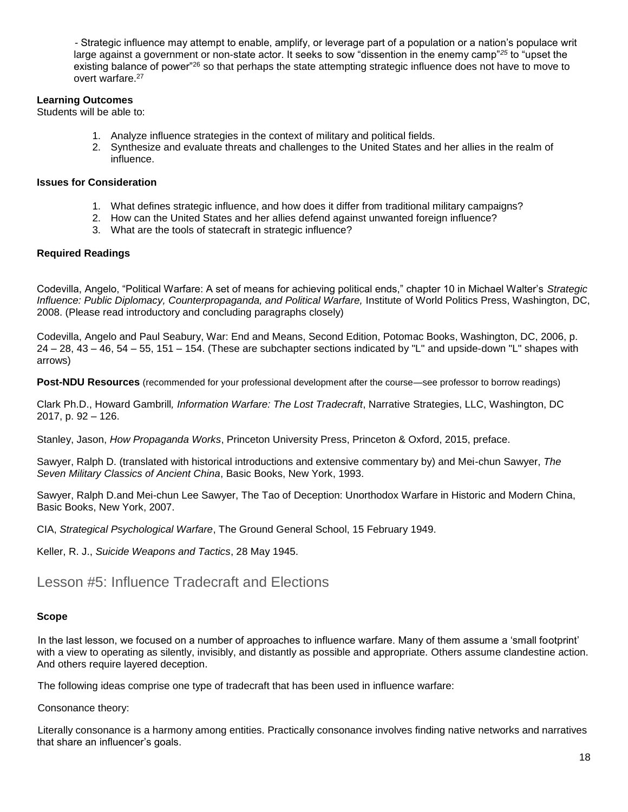*-* Strategic influence may attempt to enable, amplify, or leverage part of a population or a nation's populace writ large against a government or non-state actor. It seeks to sow "dissention in the enemy camp"*<sup>25</sup>* to "upset the existing balance of power"<sup>26</sup> so that perhaps the state attempting strategic influence does not have to move to overt warfare.<sup>27</sup>

#### **Learning Outcomes**

Students will be able to:

- 1. Analyze influence strategies in the context of military and political fields.
- 2. Synthesize and evaluate threats and challenges to the United States and her allies in the realm of influence.

#### **Issues for Consideration**

- 1. What defines strategic influence, and how does it differ from traditional military campaigns?
- 2. How can the United States and her allies defend against unwanted foreign influence?
- 3. What are the tools of statecraft in strategic influence?

#### **Required Readings**

Codevilla, Angelo, "Political Warfare: A set of means for achieving political ends," chapter 10 in Michael Walter's *Strategic Influence: Public Diplomacy, Counterpropaganda, and Political Warfare,* Institute of World Politics Press, Washington, DC, 2008. (Please read introductory and concluding paragraphs closely)

Codevilla, Angelo and Paul Seabury, War: End and Means, Second Edition, Potomac Books, Washington, DC, 2006, p. 24 – 28, 43 – 46, 54 – 55, 151 – 154. (These are subchapter sections indicated by "L" and upside-down "L" shapes with arrows)

**Post-NDU Resources** (recommended for your professional development after the course—see professor to borrow readings)

Clark Ph.D., Howard Gambrill*, Information Warfare: The Lost Tradecraft*, Narrative Strategies, LLC, Washington, DC 2017, p. 92 – 126.

Stanley, Jason, *How Propaganda Works*, Princeton University Press, Princeton & Oxford, 2015, preface.

Sawyer, Ralph D. (translated with historical introductions and extensive commentary by) and Mei-chun Sawyer, *The Seven Military Classics of Ancient China*, Basic Books, New York, 1993.

Sawyer, Ralph D.and Mei-chun Lee Sawyer, The Tao of Deception: Unorthodox Warfare in Historic and Modern China, Basic Books, New York, 2007.

CIA, *Strategical Psychological Warfare*, The Ground General School, 15 February 1949.

Keller, R. J., *Suicide Weapons and Tactics*, 28 May 1945.

## Lesson #5: Influence Tradecraft and Elections

#### **Scope**

In the last lesson, we focused on a number of approaches to influence warfare. Many of them assume a 'small footprint' with a view to operating as silently, invisibly, and distantly as possible and appropriate. Others assume clandestine action. And others require layered deception.

The following ideas comprise one type of tradecraft that has been used in influence warfare:

Consonance theory:

Literally consonance is a harmony among entities. Practically consonance involves finding native networks and narratives that share an influencer's goals.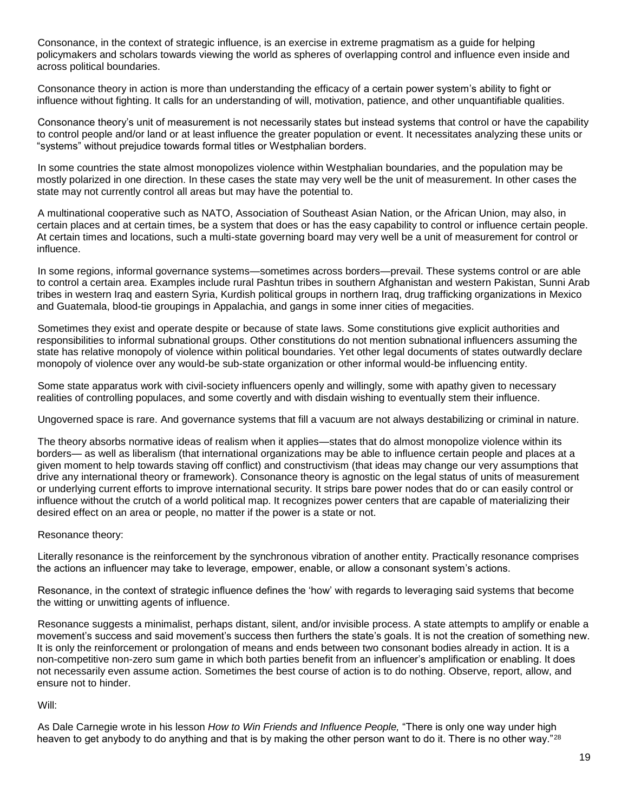Consonance, in the context of strategic influence, is an exercise in extreme pragmatism as a guide for helping policymakers and scholars towards viewing the world as spheres of overlapping control and influence even inside and across political boundaries.

Consonance theory in action is more than understanding the efficacy of a certain power system's ability to fight or influence without fighting. It calls for an understanding of will, motivation, patience, and other unquantifiable qualities.

Consonance theory's unit of measurement is not necessarily states but instead systems that control or have the capability to control people and/or land or at least influence the greater population or event. It necessitates analyzing these units or "systems" without prejudice towards formal titles or Westphalian borders.

In some countries the state almost monopolizes violence within Westphalian boundaries, and the population may be mostly polarized in one direction. In these cases the state may very well be the unit of measurement. In other cases the state may not currently control all areas but may have the potential to.

A multinational cooperative such as NATO, Association of Southeast Asian Nation, or the African Union, may also, in certain places and at certain times, be a system that does or has the easy capability to control or influence certain people. At certain times and locations, such a multi-state governing board may very well be a unit of measurement for control or influence.

In some regions, informal governance systems—sometimes across borders—prevail. These systems control or are able to control a certain area. Examples include rural Pashtun tribes in southern Afghanistan and western Pakistan, Sunni Arab tribes in western Iraq and eastern Syria, Kurdish political groups in northern Iraq, drug trafficking organizations in Mexico and Guatemala, blood-tie groupings in Appalachia, and gangs in some inner cities of megacities.

Sometimes they exist and operate despite or because of state laws. Some constitutions give explicit authorities and responsibilities to informal subnational groups. Other constitutions do not mention subnational influencers assuming the state has relative monopoly of violence within political boundaries. Yet other legal documents of states outwardly declare monopoly of violence over any would-be sub-state organization or other informal would-be influencing entity.

Some state apparatus work with civil-society influencers openly and willingly, some with apathy given to necessary realities of controlling populaces, and some covertly and with disdain wishing to eventually stem their influence.

Ungoverned space is rare. And governance systems that fill a vacuum are not always destabilizing or criminal in nature.

The theory absorbs normative ideas of realism when it applies—states that do almost monopolize violence within its borders— as well as liberalism (that international organizations may be able to influence certain people and places at a given moment to help towards staving off conflict) and constructivism (that ideas may change our very assumptions that drive any international theory or framework). Consonance theory is agnostic on the legal status of units of measurement or underlying current efforts to improve international security. It strips bare power nodes that do or can easily control or influence without the crutch of a world political map. It recognizes power centers that are capable of materializing their desired effect on an area or people, no matter if the power is a state or not.

Resonance theory:

Literally resonance is the reinforcement by the synchronous vibration of another entity. Practically resonance comprises the actions an influencer may take to leverage, empower, enable, or allow a consonant system's actions.

Resonance, in the context of strategic influence defines the 'how' with regards to leveraging said systems that become the witting or unwitting agents of influence.

Resonance suggests a minimalist, perhaps distant, silent, and/or invisible process. A state attempts to amplify or enable a movement's success and said movement's success then furthers the state's goals. It is not the creation of something new. It is only the reinforcement or prolongation of means and ends between two consonant bodies already in action. It is a non-competitive non-zero sum game in which both parties benefit from an influencer's amplification or enabling. It does not necessarily even assume action. Sometimes the best course of action is to do nothing. Observe, report, allow, and ensure not to hinder.

Will:

As Dale Carnegie wrote in his lesson *How to Win Friends and Influence People,* "There is only one way under high heaven to get anybody to do anything and that is by making the other person want to do it. There is no other way."<sup>28</sup>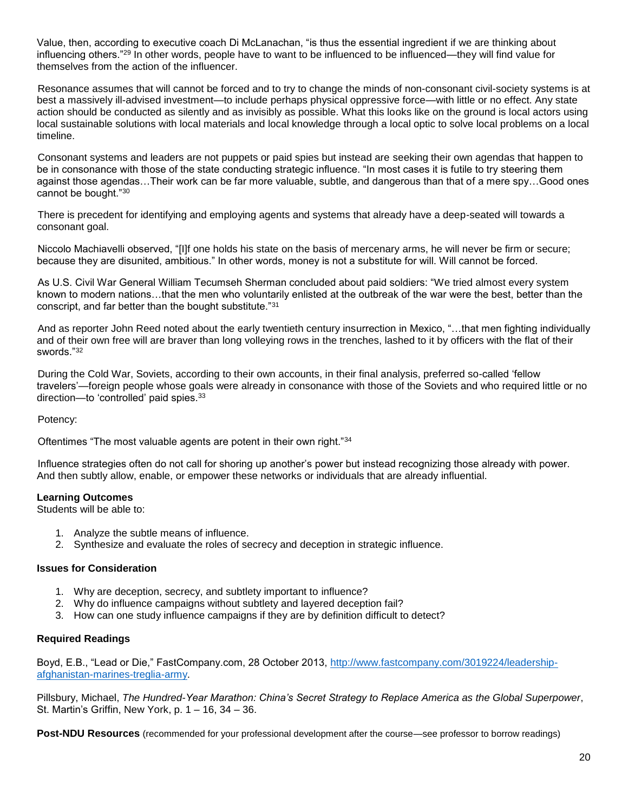Value, then, according to executive coach Di McLanachan, "is thus the essential ingredient if we are thinking about influencing others."<sup>29</sup> In other words, people have to want to be influenced to be influenced—they will find value for themselves from the action of the influencer.

Resonance assumes that will cannot be forced and to try to change the minds of non-consonant civil-society systems is at best a massively ill-advised investment—to include perhaps physical oppressive force—with little or no effect. Any state action should be conducted as silently and as invisibly as possible. What this looks like on the ground is local actors using local sustainable solutions with local materials and local knowledge through a local optic to solve local problems on a local timeline.

Consonant systems and leaders are not puppets or paid spies but instead are seeking their own agendas that happen to be in consonance with those of the state conducting strategic influence. "In most cases it is futile to try steering them against those agendas…Their work can be far more valuable, subtle, and dangerous than that of a mere spy…Good ones cannot be bought."<sup>30</sup>

There is precedent for identifying and employing agents and systems that already have a deep-seated will towards a consonant goal.

Niccolo Machiavelli observed, "[I]f one holds his state on the basis of mercenary arms, he will never be firm or secure; because they are disunited, ambitious." In other words, money is not a substitute for will. Will cannot be forced.

As U.S. Civil War General William Tecumseh Sherman concluded about paid soldiers: "We tried almost every system known to modern nations…that the men who voluntarily enlisted at the outbreak of the war were the best, better than the conscript, and far better than the bought substitute."<sup>31</sup>

And as reporter John Reed noted about the early twentieth century insurrection in Mexico, "…that men fighting individually and of their own free will are braver than long volleying rows in the trenches, lashed to it by officers with the flat of their swords."<sup>32</sup>

During the Cold War, Soviets, according to their own accounts, in their final analysis, preferred so-called 'fellow travelers'—foreign people whose goals were already in consonance with those of the Soviets and who required little or no direction—to 'controlled' paid spies.<sup>33</sup>

Potency:

Oftentimes "The most valuable agents are potent in their own right."<sup>34</sup>

Influence strategies often do not call for shoring up another's power but instead recognizing those already with power. And then subtly allow, enable, or empower these networks or individuals that are already influential.

#### **Learning Outcomes**

Students will be able to:

- 1. Analyze the subtle means of influence.
- 2. Synthesize and evaluate the roles of secrecy and deception in strategic influence.

#### **Issues for Consideration**

- 1. Why are deception, secrecy, and subtlety important to influence?
- 2. Why do influence campaigns without subtlety and layered deception fail?
- 3. How can one study influence campaigns if they are by definition difficult to detect?

#### **Required Readings**

Boyd, E.B., "Lead or Die," FastCompany.com, 28 October 2013, [http://www.fastcompany.com/3019224/leadership](http://www.fastcompany.com/3019224/leadership-afghanistan-marines-treglia-army)[afghanistan-marines-treglia-army.](http://www.fastcompany.com/3019224/leadership-afghanistan-marines-treglia-army)

Pillsbury, Michael, *The Hundred-Year Marathon: China's Secret Strategy to Replace America as the Global Superpower*, St. Martin's Griffin, New York, p. 1 – 16, 34 – 36.

**Post-NDU Resources** (recommended for your professional development after the course—see professor to borrow readings)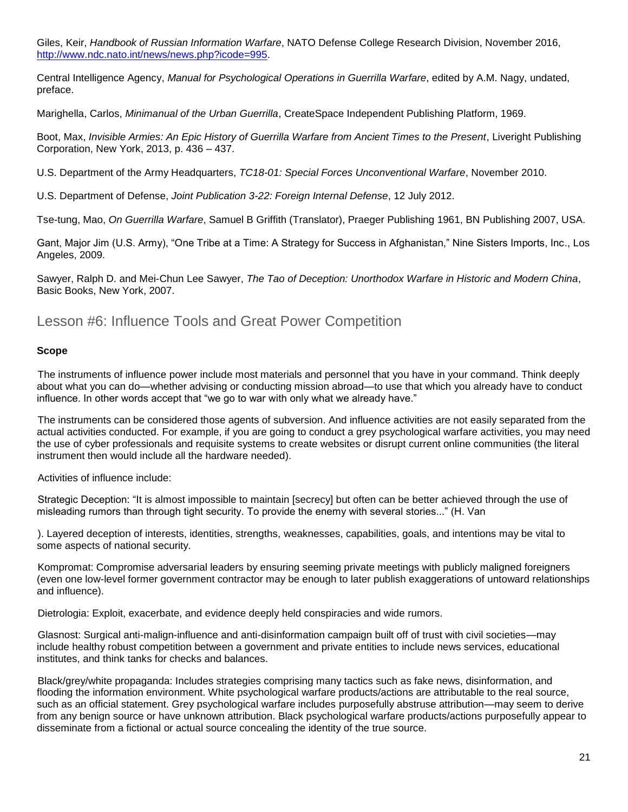Giles, Keir, *Handbook of Russian Information Warfare*, NATO Defense College Research Division, November 2016, [http://www.ndc.nato.int/news/news.php?icode=995.](http://www.ndc.nato.int/news/news.php?icode=995)

Central Intelligence Agency, *Manual for Psychological Operations in Guerrilla Warfare*, edited by A.M. Nagy, undated, preface.

Marighella, Carlos, *Minimanual of the Urban Guerrilla*, CreateSpace Independent Publishing Platform, 1969.

Boot, Max, *Invisible Armies: An Epic History of Guerrilla Warfare from Ancient Times to the Present*, Liveright Publishing Corporation, New York, 2013, p. 436 – 437.

U.S. Department of the Army Headquarters, *TC18-01: Special Forces Unconventional Warfare*, November 2010.

U.S. Department of Defense, *Joint Publication 3-22: Foreign Internal Defense*, 12 July 2012.

Tse-tung, Mao, *On Guerrilla Warfare*, Samuel B Griffith (Translator), Praeger Publishing 1961, BN Publishing 2007, USA.

Gant, Major Jim (U.S. Army), "One Tribe at a Time: A Strategy for Success in Afghanistan," Nine Sisters Imports, Inc., Los Angeles, 2009.

Sawyer, Ralph D. and Mei-Chun Lee Sawyer, *The Tao of Deception: Unorthodox Warfare in Historic and Modern China*, Basic Books, New York, 2007.

## Lesson #6: Influence Tools and Great Power Competition

#### **Scope**

The instruments of influence power include most materials and personnel that you have in your command. Think deeply about what you can do—whether advising or conducting mission abroad—to use that which you already have to conduct influence. In other words accept that "we go to war with only what we already have."

The instruments can be considered those agents of subversion. And influence activities are not easily separated from the actual activities conducted. For example, if you are going to conduct a grey psychological warfare activities, you may need the use of cyber professionals and requisite systems to create websites or disrupt current online communities (the literal instrument then would include all the hardware needed).

Activities of influence include:

Strategic Deception: "It is almost impossible to maintain [secrecy] but often can be better achieved through the use of misleading rumors than through tight security. To provide the enemy with several stories..." (H. Van

). Layered deception of interests, identities, strengths, weaknesses, capabilities, goals, and intentions may be vital to some aspects of national security.

Kompromat: Compromise adversarial leaders by ensuring seeming private meetings with publicly maligned foreigners (even one low-level former government contractor may be enough to later publish exaggerations of untoward relationships and influence).

Dietrologia: Exploit, exacerbate, and evidence deeply held conspiracies and wide rumors.

Glasnost: Surgical anti-malign-influence and anti-disinformation campaign built off of trust with civil societies—may include healthy robust competition between a government and private entities to include news services, educational institutes, and think tanks for checks and balances.

Black/grey/white propaganda: Includes strategies comprising many tactics such as fake news, disinformation, and flooding the information environment. White psychological warfare products/actions are attributable to the real source, such as an official statement. Grey psychological warfare includes purposefully abstruse attribution—may seem to derive from any benign source or have unknown attribution. Black psychological warfare products/actions purposefully appear to disseminate from a fictional or actual source concealing the identity of the true source.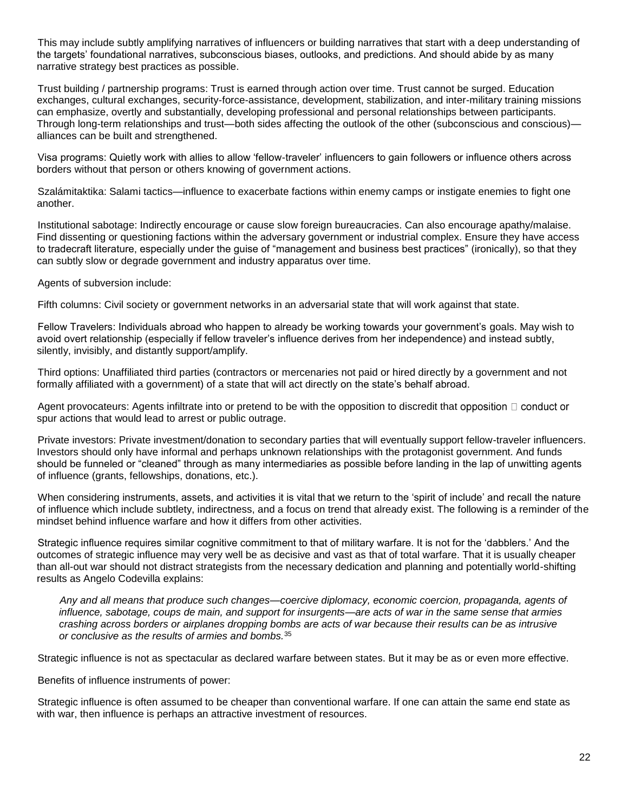This may include subtly amplifying narratives of influencers or building narratives that start with a deep understanding of the targets' foundational narratives, subconscious biases, outlooks, and predictions. And should abide by as many narrative strategy best practices as possible.

Trust building / partnership programs: Trust is earned through action over time. Trust cannot be surged. Education exchanges, cultural exchanges, security-force-assistance, development, stabilization, and inter-military training missions can emphasize, overtly and substantially, developing professional and personal relationships between participants. Through long-term relationships and trust—both sides affecting the outlook of the other (subconscious and conscious) alliances can be built and strengthened.

Visa programs: Quietly work with allies to allow 'fellow-traveler' influencers to gain followers or influence others across borders without that person or others knowing of government actions.

Szalámitaktika: Salami tactics—influence to exacerbate factions within enemy camps or instigate enemies to fight one another.

Institutional sabotage: Indirectly encourage or cause slow foreign bureaucracies. Can also encourage apathy/malaise. Find dissenting or questioning factions within the adversary government or industrial complex. Ensure they have access to tradecraft literature, especially under the guise of "management and business best practices" (ironically), so that they can subtly slow or degrade government and industry apparatus over time.

Agents of subversion include:

Fifth columns: Civil society or government networks in an adversarial state that will work against that state.

Fellow Travelers: Individuals abroad who happen to already be working towards your government's goals. May wish to avoid overt relationship (especially if fellow traveler's influence derives from her independence) and instead subtly, silently, invisibly, and distantly support/amplify.

Third options: Unaffiliated third parties (contractors or mercenaries not paid or hired directly by a government and not formally affiliated with a government) of a state that will act directly on the state's behalf abroad.

Agent provocateurs: Agents infiltrate into or pretend to be with the opposition to discredit that opposition  $\Box$  conduct or spur actions that would lead to arrest or public outrage.

Private investors: Private investment/donation to secondary parties that will eventually support fellow-traveler influencers. Investors should only have informal and perhaps unknown relationships with the protagonist government. And funds should be funneled or "cleaned" through as many intermediaries as possible before landing in the lap of unwitting agents of influence (grants, fellowships, donations, etc.).

When considering instruments, assets, and activities it is vital that we return to the 'spirit of include' and recall the nature of influence which include subtlety, indirectness, and a focus on trend that already exist. The following is a reminder of the mindset behind influence warfare and how it differs from other activities.

Strategic influence requires similar cognitive commitment to that of military warfare. It is not for the 'dabblers.' And the outcomes of strategic influence may very well be as decisive and vast as that of total warfare. That it is usually cheaper than all-out war should not distract strategists from the necessary dedication and planning and potentially world-shifting results as Angelo Codevilla explains:

*Any and all means that produce such changes—coercive diplomacy, economic coercion, propaganda, agents of influence, sabotage, coups de main, and support for insurgents—are acts of war in the same sense that armies crashing across borders or airplanes dropping bombs are acts of war because their results can be as intrusive or conclusive as the results of armies and bombs.*<sup>35</sup>

Strategic influence is not as spectacular as declared warfare between states. But it may be as or even more effective.

Benefits of influence instruments of power:

Strategic influence is often assumed to be cheaper than conventional warfare. If one can attain the same end state as with war, then influence is perhaps an attractive investment of resources.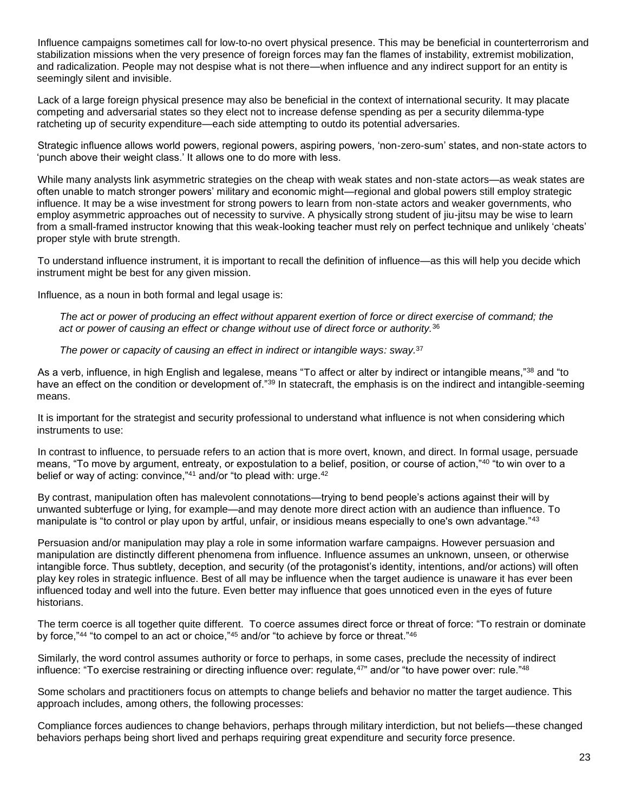Influence campaigns sometimes call for low-to-no overt physical presence. This may be beneficial in counterterrorism and stabilization missions when the very presence of foreign forces may fan the flames of instability, extremist mobilization, and radicalization. People may not despise what is not there—when influence and any indirect support for an entity is seemingly silent and invisible.

Lack of a large foreign physical presence may also be beneficial in the context of international security. It may placate competing and adversarial states so they elect not to increase defense spending as per a security dilemma-type ratcheting up of security expenditure—each side attempting to outdo its potential adversaries.

Strategic influence allows world powers, regional powers, aspiring powers, 'non-zero-sum' states, and non-state actors to 'punch above their weight class.' It allows one to do more with less.

While many analysts link asymmetric strategies on the cheap with weak states and non-state actors—as weak states are often unable to match stronger powers' military and economic might—regional and global powers still employ strategic influence. It may be a wise investment for strong powers to learn from non-state actors and weaker governments, who employ asymmetric approaches out of necessity to survive. A physically strong student of jiu-jitsu may be wise to learn from a small-framed instructor knowing that this weak-looking teacher must rely on perfect technique and unlikely 'cheats' proper style with brute strength.

To understand influence instrument, it is important to recall the definition of influence—as this will help you decide which instrument might be best for any given mission.

Influence, as a noun in both formal and legal usage is:

*The act or power of producing an effect without apparent exertion of force or direct exercise of command; the act or power of causing an effect or change without use of direct force or authority.*<sup>36</sup>

*The power or capacity of causing an effect in indirect or intangible ways: sway.*<sup>37</sup>

As a verb, influence, in high English and legalese, means "To affect or alter by indirect or intangible means,"<sup>38</sup> and "to have an effect on the condition or development of."<sup>39</sup> In statecraft, the emphasis is on the indirect and intangible-seeming means.

It is important for the strategist and security professional to understand what influence is not when considering which instruments to use:

In contrast to influence, to persuade refers to an action that is more overt, known, and direct. In formal usage, persuade means, "To move by argument, entreaty, or expostulation to a belief, position, or course of action,"<sup>40</sup> "to win over to a belief or way of acting: convince,"<sup>41</sup> and/or "to plead with: urge.<sup>42</sup>

By contrast, manipulation often has malevolent connotations—trying to bend people's actions against their will by unwanted subterfuge or lying, for example—and may denote more direct action with an audience than influence. To manipulate is "to control or play upon by artful, unfair, or insidious means especially to one's own advantage."<sup>43</sup>

Persuasion and/or manipulation may play a role in some information warfare campaigns. However persuasion and manipulation are distinctly different phenomena from influence. Influence assumes an unknown, unseen, or otherwise intangible force. Thus subtlety, deception, and security (of the protagonist's identity, intentions, and/or actions) will often play key roles in strategic influence. Best of all may be influence when the target audience is unaware it has ever been influenced today and well into the future. Even better may influence that goes unnoticed even in the eyes of future historians.

The term coerce is all together quite different. To coerce assumes direct force or threat of force: "To restrain or dominate by force,"44 "to compel to an act or choice,"45 and/or "to achieve by force or threat."46

Similarly, the word control assumes authority or force to perhaps, in some cases, preclude the necessity of indirect influence: "To exercise restraining or directing influence over: regulate,<sup>47"</sup> and/or "to have power over: rule."<sup>48</sup>

Some scholars and practitioners focus on attempts to change beliefs and behavior no matter the target audience. This approach includes, among others, the following processes:

Compliance forces audiences to change behaviors, perhaps through military interdiction, but not beliefs—these changed behaviors perhaps being short lived and perhaps requiring great expenditure and security force presence.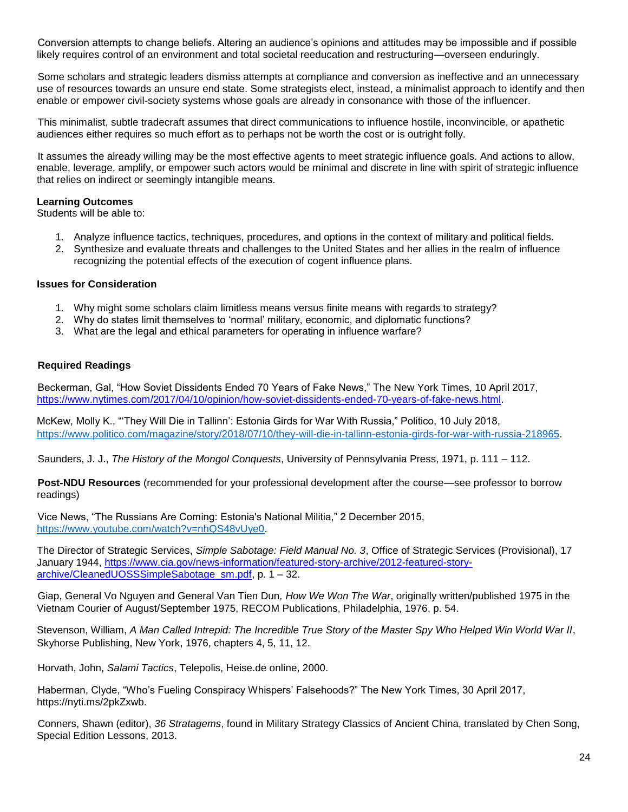Conversion attempts to change beliefs. Altering an audience's opinions and attitudes may be impossible and if possible likely requires control of an environment and total societal reeducation and restructuring—overseen enduringly.

Some scholars and strategic leaders dismiss attempts at compliance and conversion as ineffective and an unnecessary use of resources towards an unsure end state. Some strategists elect, instead, a minimalist approach to identify and then enable or empower civil-society systems whose goals are already in consonance with those of the influencer.

This minimalist, subtle tradecraft assumes that direct communications to influence hostile, inconvincible, or apathetic audiences either requires so much effort as to perhaps not be worth the cost or is outright folly.

It assumes the already willing may be the most effective agents to meet strategic influence goals. And actions to allow, enable, leverage, amplify, or empower such actors would be minimal and discrete in line with spirit of strategic influence that relies on indirect or seemingly intangible means.

#### **Learning Outcomes**

Students will be able to:

- 1. Analyze influence tactics, techniques, procedures, and options in the context of military and political fields.
- 2. Synthesize and evaluate threats and challenges to the United States and her allies in the realm of influence recognizing the potential effects of the execution of cogent influence plans.

#### **Issues for Consideration**

- 1. Why might some scholars claim limitless means versus finite means with regards to strategy?
- 2. Why do states limit themselves to 'normal' military, economic, and diplomatic functions?
- 3. What are the legal and ethical parameters for operating in influence warfare?

#### **Required Readings**

Beckerman, Gal, "How Soviet Dissidents Ended 70 Years of Fake News," The New York Times, 10 April 2017, [https://www.nytimes.com/2017/04/10/opinion/how-soviet-dissidents-ended-70-years-of-fake-news.html.](https://www.nytimes.com/2017/04/10/opinion/how-soviet-dissidents-ended-70-years-of-fake-news.html)

McKew, Molly K., "'They Will Die in Tallinn': Estonia Girds for War With Russia," Politico, 10 July 2018, [https://www.politico.com/magazine/story/2018/07/10/they-will-die-in-tallinn-estonia-girds-for-war-with-russia-218965.](https://www.politico.com/magazine/story/2018/07/10/they-will-die-in-tallinn-estonia-girds-for-war-with-russia-218965)

Saunders, J. J., *The History of the Mongol Conquests*, University of Pennsylvania Press, 1971, p. 111 – 112.

**Post-NDU Resources** (recommended for your professional development after the course—see professor to borrow readings)

Vice News, "The Russians Are Coming: Estonia's National Militia," 2 December 2015, [https://www.youtube.com/watch?v=nhQS48vUye0.](https://www.youtube.com/watch?v=nhQS48vUye0)

The Director of Strategic Services, *Simple Sabotage: Field Manual No. 3*, Office of Strategic Services (Provisional), 17 January 1944, [https://www.cia.gov/news-information/featured-story-archive/2012-featured-story](https://www.cia.gov/news-information/featured-story-archive/2012-featured-story-archive/CleanedUOSSSimpleSabotage_sm.pdf)[archive/CleanedUOSSSimpleSabotage\\_sm.pdf,](https://www.cia.gov/news-information/featured-story-archive/2012-featured-story-archive/CleanedUOSSSimpleSabotage_sm.pdf) p. 1 – 32.

Giap, General Vo Nguyen and General Van Tien Dun*, How We Won The War*, originally written/published 1975 in the Vietnam Courier of August/September 1975, RECOM Publications, Philadelphia, 1976, p. 54.

Stevenson, William, *A Man Called Intrepid: The Incredible True Story of the Master Spy Who Helped Win World War II*, Skyhorse Publishing, New York, 1976, chapters 4, 5, 11, 12.

Horvath, John, *Salami Tactics*, Telepolis, Heise.de online, 2000.

Haberman, Clyde, "Who's Fueling Conspiracy Whispers' Falsehoods?" The New York Times, 30 April 2017, https://nyti.ms/2pkZxwb.

Conners, Shawn (editor), *36 Stratagems*, found in Military Strategy Classics of Ancient China, translated by Chen Song, Special Edition Lessons, 2013.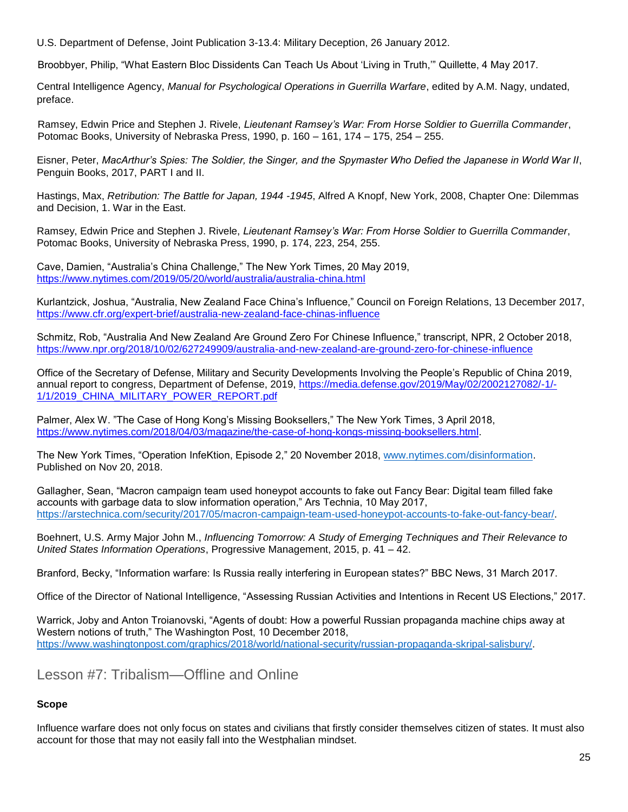U.S. Department of Defense, Joint Publication 3-13.4: Military Deception, 26 January 2012.

Broobbyer, Philip, "What Eastern Bloc Dissidents Can Teach Us About 'Living in Truth,'" Quillette, 4 May 2017.

Central Intelligence Agency, *Manual for Psychological Operations in Guerrilla Warfare*, edited by A.M. Nagy, undated, preface.

Ramsey, Edwin Price and Stephen J. Rivele, *Lieutenant Ramsey's War: From Horse Soldier to Guerrilla Commander*, Potomac Books, University of Nebraska Press, 1990, p. 160 – 161, 174 – 175, 254 – 255.

Eisner, Peter, *MacArthur's Spies: The Soldier, the Singer, and the Spymaster Who Defied the Japanese in World War II*, Penguin Books, 2017, PART I and II.

Hastings, Max, *Retribution: The Battle for Japan, 1944 -1945*, Alfred A Knopf, New York, 2008, Chapter One: Dilemmas and Decision, 1. War in the East.

Ramsey, Edwin Price and Stephen J. Rivele, *Lieutenant Ramsey's War: From Horse Soldier to Guerrilla Commander*, Potomac Books, University of Nebraska Press, 1990, p. 174, 223, 254, 255.

Cave, Damien, "Australia's China Challenge," The New York Times, 20 May 2019, <https://www.nytimes.com/2019/05/20/world/australia/australia-china.html>

Kurlantzick, Joshua, "Australia, New Zealand Face China's Influence," Council on Foreign Relations, 13 December 2017, <https://www.cfr.org/expert-brief/australia-new-zealand-face-chinas-influence>

Schmitz, Rob, "Australia And New Zealand Are Ground Zero For Chinese Influence," transcript, NPR, 2 October 2018, <https://www.npr.org/2018/10/02/627249909/australia-and-new-zealand-are-ground-zero-for-chinese-influence>

Office of the Secretary of Defense, Military and Security Developments Involving the People's Republic of China 2019, annual report to congress, Department of Defense, 2019, [https://media.defense.gov/2019/May/02/2002127082/-1/-](https://media.defense.gov/2019/May/02/2002127082/-1/-1/1/2019_CHINA_MILITARY_POWER_REPORT.pdf) [1/1/2019\\_CHINA\\_MILITARY\\_POWER\\_REPORT.pdf](https://media.defense.gov/2019/May/02/2002127082/-1/-1/1/2019_CHINA_MILITARY_POWER_REPORT.pdf)

Palmer, Alex W. "The Case of Hong Kong's Missing Booksellers," The New York Times, 3 April 2018, [https://www.nytimes.com/2018/04/03/magazine/the-case-of-hong-kongs-missing-booksellers.html.](https://www.nytimes.com/2018/04/03/magazine/the-case-of-hong-kongs-missing-booksellers.html)

The New York Times, "Operation InfeKtion, Episode 2," 20 November 2018, [www.nytimes.com/disinformation.](http://www.nytimes.com/disinformation) Published on Nov 20, 2018.

Gallagher, Sean, "Macron campaign team used honeypot accounts to fake out Fancy Bear: Digital team filled fake accounts with garbage data to slow information operation," Ars Technia, 10 May 2017, [https://arstechnica.com/security/2017/05/macron-campaign-team-used-honeypot-accounts-to-fake-out-fancy-bear/.](https://arstechnica.com/security/2017/05/macron-campaign-team-used-honeypot-accounts-to-fake-out-fancy-bear/)

Boehnert, U.S. Army Major John M., *Influencing Tomorrow: A Study of Emerging Techniques and Their Relevance to United States Information Operations*, Progressive Management, 2015, p. 41 – 42.

Branford, Becky, "Information warfare: Is Russia really interfering in European states?" BBC News, 31 March 2017.

Office of the Director of National Intelligence, "Assessing Russian Activities and Intentions in Recent US Elections," 2017.

Warrick, Joby and Anton Troianovski, "Agents of doubt: How a powerful Russian propaganda machine chips away at Western notions of truth," The Washington Post, 10 December 2018, [https://www.washingtonpost.com/graphics/2018/world/national-security/russian-propaganda-skripal-salisbury/.](https://www.washingtonpost.com/graphics/2018/world/national-security/russian-propaganda-skripal-salisbury/)

Lesson #7: Tribalism—Offline and Online

### **Scope**

Influence warfare does not only focus on states and civilians that firstly consider themselves citizen of states. It must also account for those that may not easily fall into the Westphalian mindset.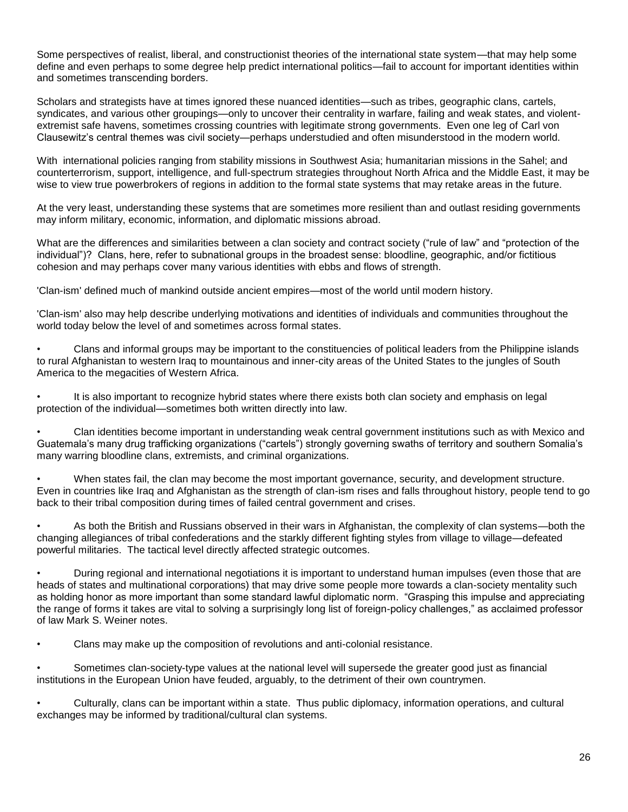Some perspectives of realist, liberal, and constructionist theories of the international state system—that may help some define and even perhaps to some degree help predict international politics—fail to account for important identities within and sometimes transcending borders.

Scholars and strategists have at times ignored these nuanced identities—such as tribes, geographic clans, cartels, syndicates, and various other groupings—only to uncover their centrality in warfare, failing and weak states, and violentextremist safe havens, sometimes crossing countries with legitimate strong governments. Even one leg of Carl von Clausewitz's central themes was civil society—perhaps understudied and often misunderstood in the modern world.

With international policies ranging from stability missions in Southwest Asia; humanitarian missions in the Sahel; and counterterrorism, support, intelligence, and full-spectrum strategies throughout North Africa and the Middle East, it may be wise to view true powerbrokers of regions in addition to the formal state systems that may retake areas in the future.

At the very least, understanding these systems that are sometimes more resilient than and outlast residing governments may inform military, economic, information, and diplomatic missions abroad.

What are the differences and similarities between a clan society and contract society ("rule of law" and "protection of the individual")? Clans, here, refer to subnational groups in the broadest sense: bloodline, geographic, and/or fictitious cohesion and may perhaps cover many various identities with ebbs and flows of strength.

'Clan-ism' defined much of mankind outside ancient empires—most of the world until modern history.

'Clan-ism' also may help describe underlying motivations and identities of individuals and communities throughout the world today below the level of and sometimes across formal states.

• Clans and informal groups may be important to the constituencies of political leaders from the Philippine islands to rural Afghanistan to western Iraq to mountainous and inner-city areas of the United States to the jungles of South America to the megacities of Western Africa.

It is also important to recognize hybrid states where there exists both clan society and emphasis on legal protection of the individual—sometimes both written directly into law.

• Clan identities become important in understanding weak central government institutions such as with Mexico and Guatemala's many drug trafficking organizations ("cartels") strongly governing swaths of territory and southern Somalia's many warring bloodline clans, extremists, and criminal organizations.

When states fail, the clan may become the most important governance, security, and development structure. Even in countries like Iraq and Afghanistan as the strength of clan-ism rises and falls throughout history, people tend to go back to their tribal composition during times of failed central government and crises.

• As both the British and Russians observed in their wars in Afghanistan, the complexity of clan systems—both the changing allegiances of tribal confederations and the starkly different fighting styles from village to village—defeated powerful militaries. The tactical level directly affected strategic outcomes.

• During regional and international negotiations it is important to understand human impulses (even those that are heads of states and multinational corporations) that may drive some people more towards a clan-society mentality such as holding honor as more important than some standard lawful diplomatic norm. "Grasping this impulse and appreciating the range of forms it takes are vital to solving a surprisingly long list of foreign-policy challenges," as acclaimed professor of law Mark S. Weiner notes.

• Clans may make up the composition of revolutions and anti-colonial resistance.

• Sometimes clan-society-type values at the national level will supersede the greater good just as financial institutions in the European Union have feuded, arguably, to the detriment of their own countrymen.

• Culturally, clans can be important within a state. Thus public diplomacy, information operations, and cultural exchanges may be informed by traditional/cultural clan systems.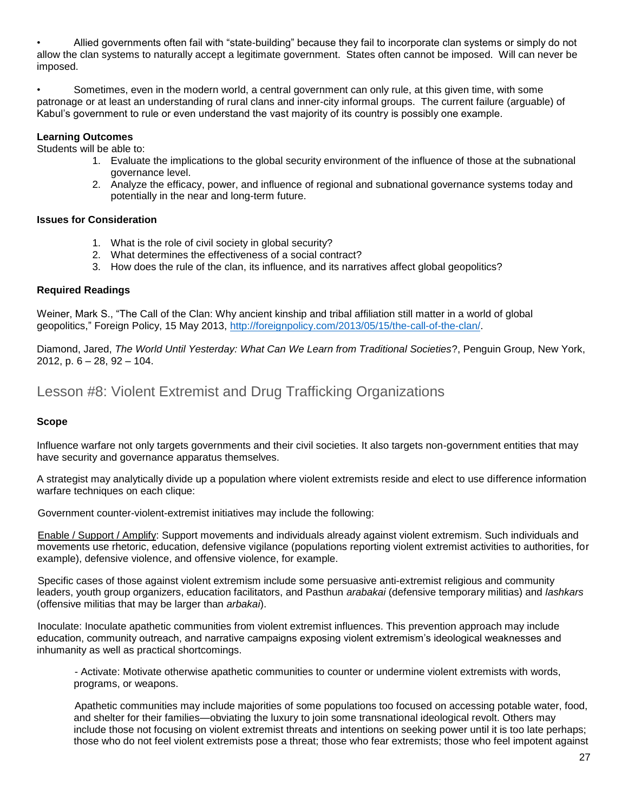• Allied governments often fail with "state-building" because they fail to incorporate clan systems or simply do not allow the clan systems to naturally accept a legitimate government. States often cannot be imposed. Will can never be imposed.

• Sometimes, even in the modern world, a central government can only rule, at this given time, with some patronage or at least an understanding of rural clans and inner-city informal groups. The current failure (arguable) of Kabul's government to rule or even understand the vast majority of its country is possibly one example.

#### **Learning Outcomes**

Students will be able to:

- 1. Evaluate the implications to the global security environment of the influence of those at the subnational governance level.
- 2. Analyze the efficacy, power, and influence of regional and subnational governance systems today and potentially in the near and long-term future.

#### **Issues for Consideration**

- 1. What is the role of civil society in global security?
- 2. What determines the effectiveness of a social contract?
- 3. How does the rule of the clan, its influence, and its narratives affect global geopolitics?

#### **Required Readings**

Weiner, Mark S., "The Call of the Clan: Why ancient kinship and tribal affiliation still matter in a world of global geopolitics," Foreign Policy, 15 May 2013, [http://foreignpolicy.com/2013/05/15/the-call-of-the-clan/.](http://foreignpolicy.com/2013/05/15/the-call-of-the-clan/)

Diamond, Jared, *The World Until Yesterday: What Can We Learn from Traditional Societies*?, Penguin Group, New York, 2012, p.  $6 - 28$ , 92  $- 104$ .

## Lesson #8: Violent Extremist and Drug Trafficking Organizations

#### **Scope**

Influence warfare not only targets governments and their civil societies. It also targets non-government entities that may have security and governance apparatus themselves.

A strategist may analytically divide up a population where violent extremists reside and elect to use difference information warfare techniques on each clique:

Government counter-violent-extremist initiatives may include the following:

Enable / Support / Amplify: Support movements and individuals already against violent extremism. Such individuals and movements use rhetoric, education, defensive vigilance (populations reporting violent extremist activities to authorities, for example), defensive violence, and offensive violence, for example.

Specific cases of those against violent extremism include some persuasive anti-extremist religious and community leaders, youth group organizers, education facilitators, and Pasthun *arabakai* (defensive temporary militias) and *lashkars*  (offensive militias that may be larger than *arbakai*).

Inoculate: Inoculate apathetic communities from violent extremist influences. This prevention approach may include education, community outreach, and narrative campaigns exposing violent extremism's ideological weaknesses and inhumanity as well as practical shortcomings.

- Activate: Motivate otherwise apathetic communities to counter or undermine violent extremists with words, programs, or weapons.

Apathetic communities may include majorities of some populations too focused on accessing potable water, food, and shelter for their families—obviating the luxury to join some transnational ideological revolt. Others may include those not focusing on violent extremist threats and intentions on seeking power until it is too late perhaps; those who do not feel violent extremists pose a threat; those who fear extremists; those who feel impotent against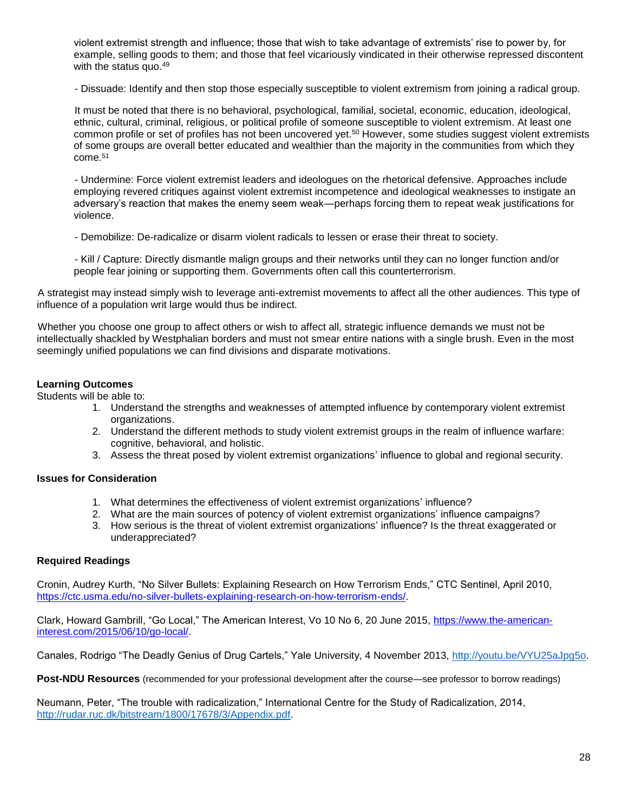violent extremist strength and influence; those that wish to take advantage of extremists' rise to power by, for example, selling goods to them; and those that feel vicariously vindicated in their otherwise repressed discontent with the status quo.<sup>49</sup>

- Dissuade: Identify and then stop those especially susceptible to violent extremism from joining a radical group.

It must be noted that there is no behavioral, psychological, familial, societal, economic, education, ideological, ethnic, cultural, criminal, religious, or political profile of someone susceptible to violent extremism. At least one common profile or set of profiles has not been uncovered yet.<sup>50</sup> However, some studies suggest violent extremists of some groups are overall better educated and wealthier than the majority in the communities from which they come.<sup>51</sup>

- Undermine: Force violent extremist leaders and ideologues on the rhetorical defensive. Approaches include employing revered critiques against violent extremist incompetence and ideological weaknesses to instigate an adversary's reaction that makes the enemy seem weak—perhaps forcing them to repeat weak justifications for violence.

- Demobilize: De-radicalize or disarm violent radicals to lessen or erase their threat to society.

- Kill / Capture: Directly dismantle malign groups and their networks until they can no longer function and/or people fear joining or supporting them. Governments often call this counterterrorism.

A strategist may instead simply wish to leverage anti-extremist movements to affect all the other audiences. This type of influence of a population writ large would thus be indirect.

Whether you choose one group to affect others or wish to affect all, strategic influence demands we must not be intellectually shackled by Westphalian borders and must not smear entire nations with a single brush. Even in the most seemingly unified populations we can find divisions and disparate motivations.

#### **Learning Outcomes**

Students will be able to:

- 1. Understand the strengths and weaknesses of attempted influence by contemporary violent extremist organizations.
- 2. Understand the different methods to study violent extremist groups in the realm of influence warfare: cognitive, behavioral, and holistic.
- 3. Assess the threat posed by violent extremist organizations' influence to global and regional security.

#### **Issues for Consideration**

- 1. What determines the effectiveness of violent extremist organizations' influence?
- 2. What are the main sources of potency of violent extremist organizations' influence campaigns?
- 3. How serious is the threat of violent extremist organizations' influence? Is the threat exaggerated or underappreciated?

#### **Required Readings**

Cronin, Audrey Kurth, "No Silver Bullets: Explaining Research on How Terrorism Ends," CTC Sentinel, April 2010, [https://ctc.usma.edu/no-silver-bullets-explaining-research-on-how-terrorism-ends/.](https://ctc.usma.edu/no-silver-bullets-explaining-research-on-how-terrorism-ends/)

Clark, Howard Gambrill, "Go Local," The American Interest, Vo 10 No 6, 20 June 2015, [https://www.the-american](https://www.the-american-interest.com/2015/06/10/go-local/)[interest.com/2015/06/10/go-local/.](https://www.the-american-interest.com/2015/06/10/go-local/)

Canales, Rodrigo "The Deadly Genius of Drug Cartels," Yale University, 4 November 2013, [http://youtu.be/VYU25aJpg5o.](http://youtu.be/VYU25aJpg5o)

**Post-NDU Resources** (recommended for your professional development after the course—see professor to borrow readings)

Neumann, Peter, "The trouble with radicalization," International Centre for the Study of Radicalization, 2014, [http://rudar.ruc.dk/bitstream/1800/17678/3/Appendix.pdf.](http://rudar.ruc.dk/bitstream/1800/17678/3/Appendix.pdf)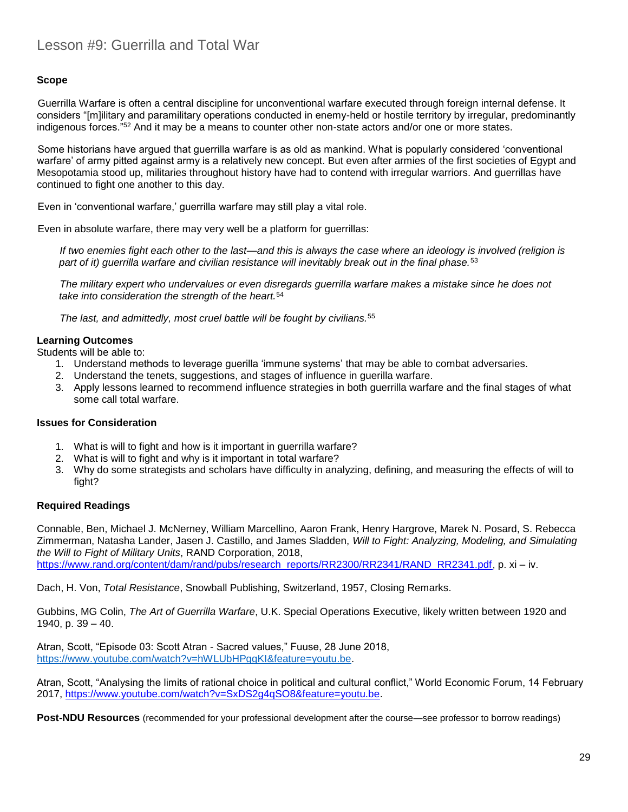#### **Scope**

Guerrilla Warfare is often a central discipline for unconventional warfare executed through foreign internal defense. It considers "[m]ilitary and paramilitary operations conducted in enemy-held or hostile territory by irregular, predominantly indigenous forces."<sup>52</sup> And it may be a means to counter other non-state actors and/or one or more states.

Some historians have argued that guerrilla warfare is as old as mankind. What is popularly considered 'conventional warfare' of army pitted against army is a relatively new concept. But even after armies of the first societies of Egypt and Mesopotamia stood up, militaries throughout history have had to contend with irregular warriors. And guerrillas have continued to fight one another to this day.

Even in 'conventional warfare,' guerrilla warfare may still play a vital role.

Even in absolute warfare, there may very well be a platform for guerrillas:

*If two enemies fight each other to the last—and this is always the case where an ideology is involved (religion is part of it) guerrilla warfare and civilian resistance will inevitably break out in the final phase.*<sup>53</sup>

*The military expert who undervalues or even disregards guerrilla warfare makes a mistake since he does not take into consideration the strength of the heart.*<sup>54</sup>

*The last, and admittedly, most cruel battle will be fought by civilians.*<sup>55</sup>

#### **Learning Outcomes**

Students will be able to:

- 1. Understand methods to leverage guerilla 'immune systems' that may be able to combat adversaries.
- 2. Understand the tenets, suggestions, and stages of influence in guerilla warfare.
- 3. Apply lessons learned to recommend influence strategies in both guerrilla warfare and the final stages of what some call total warfare.

#### **Issues for Consideration**

- 1. What is will to fight and how is it important in guerrilla warfare?
- 2. What is will to fight and why is it important in total warfare?
- 3. Why do some strategists and scholars have difficulty in analyzing, defining, and measuring the effects of will to fight?

#### **Required Readings**

Connable, Ben, Michael J. McNerney, William Marcellino, Aaron Frank, Henry Hargrove, Marek N. Posard, S. Rebecca Zimmerman, Natasha Lander, Jasen J. Castillo, and James Sladden, *Will to Fight: Analyzing, Modeling, and Simulating the Will to Fight of Military Units*, RAND Corporation, 2018,

[https://www.rand.org/content/dam/rand/pubs/research\\_reports/RR2300/RR2341/RAND\\_RR2341.pdf,](https://www.rand.org/content/dam/rand/pubs/research_reports/RR2300/RR2341/RAND_RR2341.pdf) p. xi – iv.

Dach, H. Von, *Total Resistance*, Snowball Publishing, Switzerland, 1957, Closing Remarks.

Gubbins, MG Colin, *The Art of Guerrilla Warfare*, U.K. Special Operations Executive, likely written between 1920 and 1940, p. 39 – 40.

Atran, Scott, "Episode 03: Scott Atran - Sacred values," Fuuse, 28 June 2018, [https://www.youtube.com/watch?v=hWLUbHPggKI&feature=youtu.be.](https://www.youtube.com/watch?v=hWLUbHPggKI&feature=youtu.be)

Atran, Scott, "Analysing the limits of rational choice in political and cultural conflict," World Economic Forum, 14 February 2017, [https://www.youtube.com/watch?v=SxDS2g4qSO8&feature=youtu.be.](https://www.youtube.com/watch?v=SxDS2g4qSO8&feature=youtu.be)

**Post-NDU Resources** (recommended for your professional development after the course—see professor to borrow readings)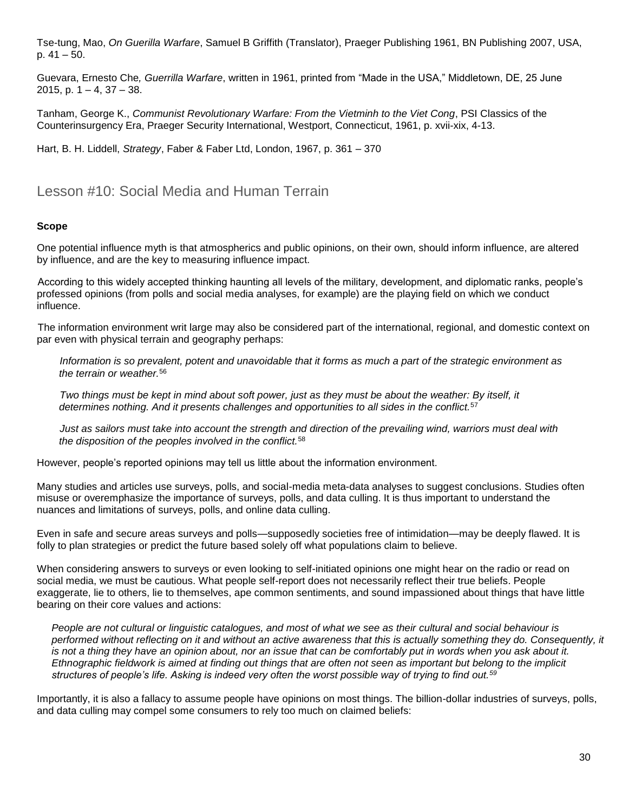Tse-tung, Mao, *On Guerilla Warfare*, Samuel B Griffith (Translator), Praeger Publishing 1961, BN Publishing 2007, USA, p.  $41 - 50$ .

Guevara, Ernesto Che*, Guerrilla Warfare*, written in 1961, printed from "Made in the USA," Middletown, DE, 25 June 2015, p.  $1 - 4$ ,  $37 - 38$ .

Tanham, George K., *Communist Revolutionary Warfare: From the Vietminh to the Viet Cong*, PSI Classics of the Counterinsurgency Era, Praeger Security International, Westport, Connecticut, 1961, p. xvii-xix, 4-13.

Hart, B. H. Liddell, *Strategy*, Faber & Faber Ltd, London, 1967, p. 361 – 370

## Lesson #10: Social Media and Human Terrain

#### **Scope**

One potential influence myth is that atmospherics and public opinions, on their own, should inform influence, are altered by influence, and are the key to measuring influence impact.

According to this widely accepted thinking haunting all levels of the military, development, and diplomatic ranks, people's professed opinions (from polls and social media analyses, for example) are the playing field on which we conduct influence.

The information environment writ large may also be considered part of the international, regional, and domestic context on par even with physical terrain and geography perhaps:

*Information is so prevalent, potent and unavoidable that it forms as much a part of the strategic environment as the terrain or weather.*<sup>56</sup>

*Two things must be kept in mind about soft power, just as they must be about the weather: By itself, it determines nothing. And it presents challenges and opportunities to all sides in the conflict.*<sup>57</sup>

*Just as sailors must take into account the strength and direction of the prevailing wind, warriors must deal with the disposition of the peoples involved in the conflict.*<sup>58</sup>

However, people's reported opinions may tell us little about the information environment.

Many studies and articles use surveys, polls, and social-media meta-data analyses to suggest conclusions. Studies often misuse or overemphasize the importance of surveys, polls, and data culling. It is thus important to understand the nuances and limitations of surveys, polls, and online data culling.

Even in safe and secure areas surveys and polls—supposedly societies free of intimidation—may be deeply flawed. It is folly to plan strategies or predict the future based solely off what populations claim to believe.

When considering answers to surveys or even looking to self-initiated opinions one might hear on the radio or read on social media, we must be cautious. What people self-report does not necessarily reflect their true beliefs. People exaggerate, lie to others, lie to themselves, ape common sentiments, and sound impassioned about things that have little bearing on their core values and actions:

*People are not cultural or linguistic catalogues, and most of what we see as their cultural and social behaviour is performed without reflecting on it and without an active awareness that this is actually something they do. Consequently, it is not a thing they have an opinion about, nor an issue that can be comfortably put in words when you ask about it. Ethnographic fieldwork is aimed at finding out things that are often not seen as important but belong to the implicit structures of people's life. Asking is indeed very often the worst possible way of trying to find out.<sup>59</sup>*

Importantly, it is also a fallacy to assume people have opinions on most things. The billion-dollar industries of surveys, polls, and data culling may compel some consumers to rely too much on claimed beliefs: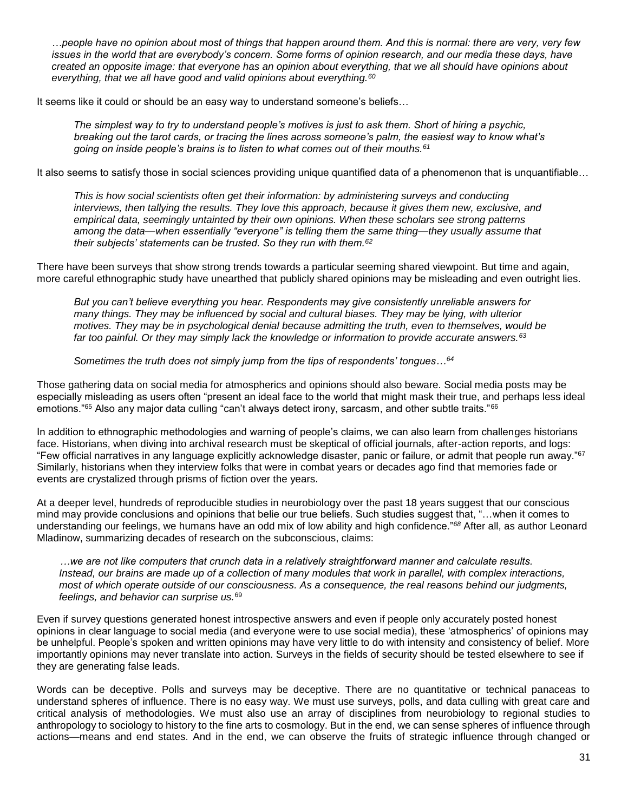*…people have no opinion about most of things that happen around them. And this is normal: there are very, very few issues in the world that are everybody's concern. Some forms of opinion research, and our media these days, have created an opposite image: that everyone has an opinion about everything, that we all should have opinions about everything, that we all have good and valid opinions about everything.<sup>60</sup>*

It seems like it could or should be an easy way to understand someone's beliefs...

*The simplest way to try to understand people's motives is just to ask them. Short of hiring a psychic, breaking out the tarot cards, or tracing the lines across someone's palm, the easiest way to know what's going on inside people's brains is to listen to what comes out of their mouths.<sup>61</sup>*

It also seems to satisfy those in social sciences providing unique quantified data of a phenomenon that is unquantifiable...

*This is how social scientists often get their information: by administering surveys and conducting interviews, then tallying the results. They love this approach, because it gives them new, exclusive, and empirical data, seemingly untainted by their own opinions. When these scholars see strong patterns among the data—when essentially "everyone" is telling them the same thing—they usually assume that their subjects' statements can be trusted. So they run with them.<sup>62</sup>*

There have been surveys that show strong trends towards a particular seeming shared viewpoint. But time and again, more careful ethnographic study have unearthed that publicly shared opinions may be misleading and even outright lies.

*But you can't believe everything you hear. Respondents may give consistently unreliable answers for many things. They may be influenced by social and cultural biases. They may be lying, with ulterior motives. They may be in psychological denial because admitting the truth, even to themselves, would be far too painful. Or they may simply lack the knowledge or information to provide accurate answers.<sup>63</sup>*

*Sometimes the truth does not simply jump from the tips of respondents' tongues…<sup>64</sup>*

Those gathering data on social media for atmospherics and opinions should also beware. Social media posts may be especially misleading as users often "present an ideal face to the world that might mask their true, and perhaps less ideal emotions."<sup>65</sup> Also any major data culling "can't always detect irony, sarcasm, and other subtle traits."<sup>66</sup>

In addition to ethnographic methodologies and warning of people's claims, we can also learn from challenges historians face. Historians, when diving into archival research must be skeptical of official journals, after-action reports, and logs: "Few official narratives in any language explicitly acknowledge disaster, panic or failure, or admit that people run away."<sup>67</sup> Similarly, historians when they interview folks that were in combat years or decades ago find that memories fade or events are crystalized through prisms of fiction over the years.

At a deeper level, hundreds of reproducible studies in neurobiology over the past 18 years suggest that our conscious mind may provide conclusions and opinions that belie our true beliefs. Such studies suggest that, "…when it comes to understanding our feelings, we humans have an odd mix of low ability and high confidence."*<sup>68</sup>* After all, as author Leonard Mladinow, summarizing decades of research on the subconscious, claims:

*…we are not like computers that crunch data in a relatively straightforward manner and calculate results. Instead, our brains are made up of a collection of many modules that work in parallel, with complex interactions, most of which operate outside of our consciousness. As a consequence, the real reasons behind our judgments, feelings, and behavior can surprise us.*<sup>69</sup>

Even if survey questions generated honest introspective answers and even if people only accurately posted honest opinions in clear language to social media (and everyone were to use social media), these 'atmospherics' of opinions may be unhelpful. People's spoken and written opinions may have very little to do with intensity and consistency of belief. More importantly opinions may never translate into action. Surveys in the fields of security should be tested elsewhere to see if they are generating false leads.

Words can be deceptive. Polls and surveys may be deceptive. There are no quantitative or technical panaceas to understand spheres of influence. There is no easy way. We must use surveys, polls, and data culling with great care and critical analysis of methodologies. We must also use an array of disciplines from neurobiology to regional studies to anthropology to sociology to history to the fine arts to cosmology. But in the end, we can sense spheres of influence through actions—means and end states. And in the end, we can observe the fruits of strategic influence through changed or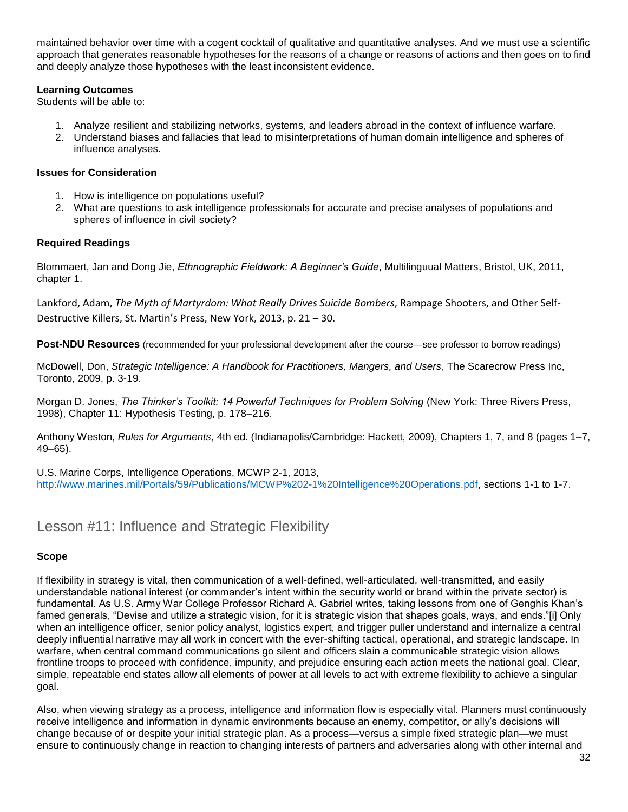maintained behavior over time with a cogent cocktail of qualitative and quantitative analyses. And we must use a scientific approach that generates reasonable hypotheses for the reasons of a change or reasons of actions and then goes on to find and deeply analyze those hypotheses with the least inconsistent evidence.

#### **Learning Outcomes**

Students will be able to:

- 1. Analyze resilient and stabilizing networks, systems, and leaders abroad in the context of influence warfare.
- 2. Understand biases and fallacies that lead to misinterpretations of human domain intelligence and spheres of influence analyses.

#### **Issues for Consideration**

- 1. How is intelligence on populations useful?
- 2. What are questions to ask intelligence professionals for accurate and precise analyses of populations and spheres of influence in civil society?

#### **Required Readings**

Blommaert, Jan and Dong Jie, *Ethnographic Fieldwork: A Beginner's Guide*, Multilinguual Matters, Bristol, UK, 2011, chapter 1.

Lankford, Adam, *The Myth of Martyrdom: What Really Drives Suicide Bombers*, Rampage Shooters, and Other Self-Destructive Killers, St. Martin's Press, New York, 2013, p. 21 – 30.

**Post-NDU Resources** (recommended for your professional development after the course—see professor to borrow readings)

McDowell, Don, *Strategic Intelligence: A Handbook for Practitioners, Mangers, and Users*, The Scarecrow Press Inc, Toronto, 2009, p. 3-19.

Morgan D. Jones, *The Thinker's Toolkit: 14 Powerful Techniques for Problem Solving* (New York: Three Rivers Press, 1998), Chapter 11: Hypothesis Testing, p. 178–216.

Anthony Weston, *Rules for Arguments*, 4th ed. (Indianapolis/Cambridge: Hackett, 2009), Chapters 1, 7, and 8 (pages 1–7, 49–65).

U.S. Marine Corps, Intelligence Operations, MCWP 2-1, 2013, [http://www.marines.mil/Portals/59/Publications/MCWP%202-1%20Intelligence%20Operations.pdf,](http://www.marines.mil/Portals/59/Publications/MCWP%202-1%20Intelligence%20Operations.pdf) sections 1-1 to 1-7.

## Lesson #11: Influence and Strategic Flexibility

#### **Scope**

If flexibility in strategy is vital, then communication of a well-defined, well-articulated, well-transmitted, and easily understandable national interest (or commander's intent within the security world or brand within the private sector) is fundamental. As U.S. Army War College Professor Richard A. Gabriel writes, taking lessons from one of Genghis Khan's famed generals, "Devise and utilize a strategic vision, for it is strategic vision that shapes goals, ways, and ends."[i] Only when an intelligence officer, senior policy analyst, logistics expert, and trigger puller understand and internalize a central deeply influential narrative may all work in concert with the ever-shifting tactical, operational, and strategic landscape. In warfare, when central command communications go silent and officers slain a communicable strategic vision allows frontline troops to proceed with confidence, impunity, and prejudice ensuring each action meets the national goal. Clear, simple, repeatable end states allow all elements of power at all levels to act with extreme flexibility to achieve a singular goal.

Also, when viewing strategy as a process, intelligence and information flow is especially vital. Planners must continuously receive intelligence and information in dynamic environments because an enemy, competitor, or ally's decisions will change because of or despite your initial strategic plan. As a process—versus a simple fixed strategic plan—we must ensure to continuously change in reaction to changing interests of partners and adversaries along with other internal and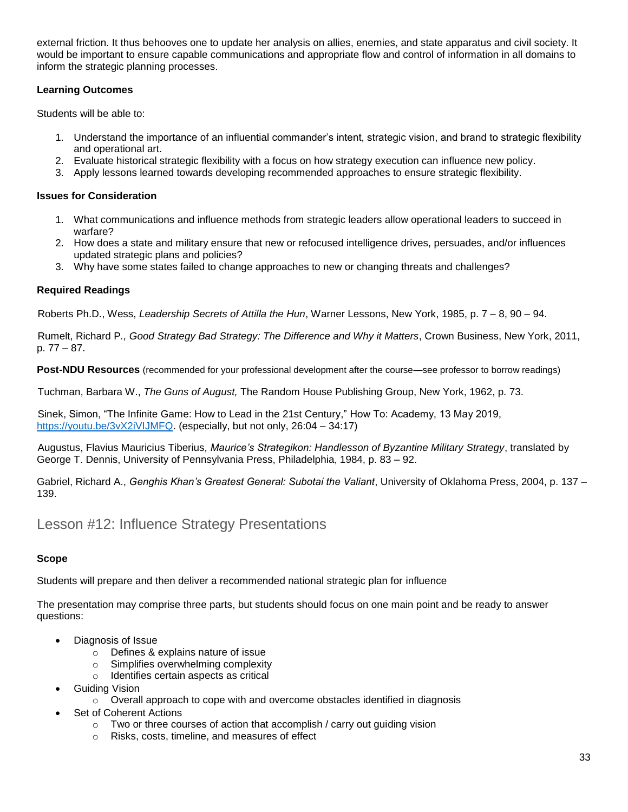external friction. It thus behooves one to update her analysis on allies, enemies, and state apparatus and civil society. It would be important to ensure capable communications and appropriate flow and control of information in all domains to inform the strategic planning processes.

#### **Learning Outcomes**

Students will be able to:

- 1. Understand the importance of an influential commander's intent, strategic vision, and brand to strategic flexibility and operational art.
- 2. Evaluate historical strategic flexibility with a focus on how strategy execution can influence new policy.
- 3. Apply lessons learned towards developing recommended approaches to ensure strategic flexibility.

#### **Issues for Consideration**

- 1. What communications and influence methods from strategic leaders allow operational leaders to succeed in warfare?
- 2. How does a state and military ensure that new or refocused intelligence drives, persuades, and/or influences updated strategic plans and policies?
- 3. Why have some states failed to change approaches to new or changing threats and challenges?

#### **Required Readings**

Roberts Ph.D., Wess, *Leadership Secrets of Attilla the Hun*, Warner Lessons, New York, 1985, p. 7 – 8, 90 – 94.

Rumelt, Richard P*., Good Strategy Bad Strategy: The Difference and Why it Matters*, Crown Business, New York, 2011, p. 77 – 87.

**Post-NDU Resources** (recommended for your professional development after the course—see professor to borrow readings)

Tuchman, Barbara W., *The Guns of August,* The Random House Publishing Group, New York, 1962, p. 73.

Sinek, Simon, "The Infinite Game: How to Lead in the 21st Century," How To: Academy, 13 May 2019, [https://youtu.be/3vX2iVIJMFQ.](https://youtu.be/3vX2iVIJMFQ) (especially, but not only, 26:04 – 34:17)

Augustus, Flavius Mauricius Tiberius*, Maurice's Strategikon: Handlesson of Byzantine Military Strategy*, translated by George T. Dennis, University of Pennsylvania Press, Philadelphia, 1984, p. 83 – 92.

Gabriel, Richard A., *Genghis Khan's Greatest General: Subotai the Valiant*, University of Oklahoma Press, 2004, p. 137 – 139.

## Lesson #12: Influence Strategy Presentations

## **Scope**

Students will prepare and then deliver a recommended national strategic plan for influence

The presentation may comprise three parts, but students should focus on one main point and be ready to answer questions:

- Diagnosis of Issue
	- o Defines & explains nature of issue
	- o Simplifies overwhelming complexity
	- o Identifies certain aspects as critical
- **•** Guiding Vision
	- $\circ$  Overall approach to cope with and overcome obstacles identified in diagnosis
- Set of Coherent Actions
	- $\circ$  Two or three courses of action that accomplish / carry out guiding vision
	- o Risks, costs, timeline, and measures of effect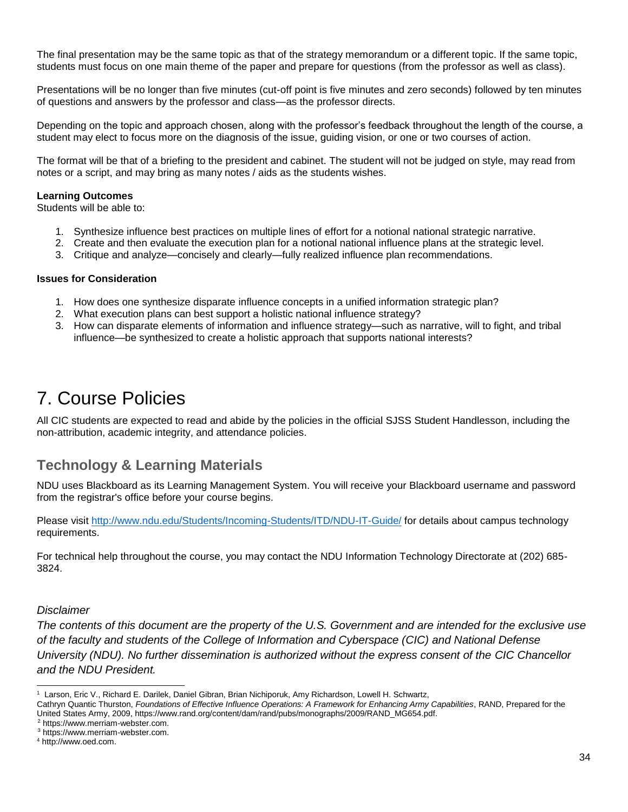The final presentation may be the same topic as that of the strategy memorandum or a different topic. If the same topic, students must focus on one main theme of the paper and prepare for questions (from the professor as well as class).

Presentations will be no longer than five minutes (cut-off point is five minutes and zero seconds) followed by ten minutes of questions and answers by the professor and class—as the professor directs.

Depending on the topic and approach chosen, along with the professor's feedback throughout the length of the course, a student may elect to focus more on the diagnosis of the issue, guiding vision, or one or two courses of action.

The format will be that of a briefing to the president and cabinet. The student will not be judged on style, may read from notes or a script, and may bring as many notes / aids as the students wishes.

#### **Learning Outcomes**

Students will be able to:

- 1. Synthesize influence best practices on multiple lines of effort for a notional national strategic narrative.
- 2. Create and then evaluate the execution plan for a notional national influence plans at the strategic level.
- 3. Critique and analyze—concisely and clearly—fully realized influence plan recommendations.

#### **Issues for Consideration**

- 1. How does one synthesize disparate influence concepts in a unified information strategic plan?
- 2. What execution plans can best support a holistic national influence strategy?
- 3. How can disparate elements of information and influence strategy—such as narrative, will to fight, and tribal influence—be synthesized to create a holistic approach that supports national interests?

# 7. Course Policies

All CIC students are expected to read and abide by the policies in the official SJSS Student Handlesson, including the non-attribution, academic integrity, and attendance policies.

## **Technology & Learning Materials**

NDU uses Blackboard as its Learning Management System. You will receive your Blackboard username and password from the registrar's office before your course begins.

Please visit<http://www.ndu.edu/Students/Incoming-Students/ITD/NDU-IT-Guide/> for details about campus technology requirements.

For technical help throughout the course, you may contact the NDU Information Technology Directorate at (202) 685- 3824.

#### *Disclaimer*

l

*The contents of this document are the property of the U.S. Government and are intended for the exclusive use of the faculty and students of the College of Information and Cyberspace (CIC) and National Defense University (NDU). No further dissemination is authorized without the express consent of the CIC Chancellor and the NDU President.*

<sup>2</sup> https://www.merriam-webster.com.

<sup>1</sup> Larson, Eric V., Richard E. Darilek, Daniel Gibran, Brian Nichiporuk, Amy Richardson, Lowell H. Schwartz,

Cathryn Quantic Thurston, *Foundations of Effective Influence Operations: A Framework for Enhancing Army Capabilities*, RAND, Prepared for the United States Army, 2009, https://www.rand.org/content/dam/rand/pubs/monographs/2009/RAND\_MG654.pdf.

<sup>3</sup> https://www.merriam-webster.com.

<sup>4</sup> http://www.oed.com.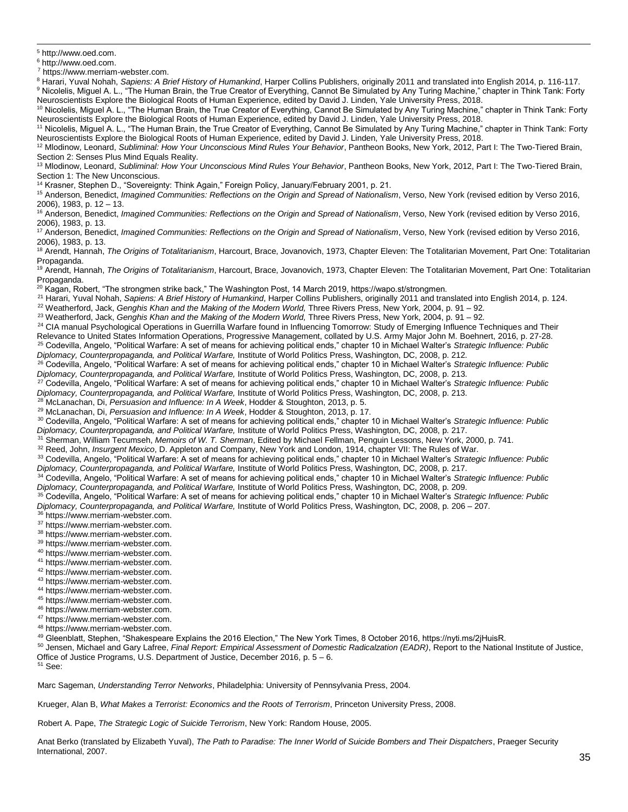<sup>5</sup> http://www.oed.com.

l

<sup>6</sup> http://www.oed.com.

<sup>7</sup> https://www.merriam-webster.com.

<sup>8</sup> Harari, Yuval Nohah, *Sapiens: A Brief History of Humankind*, Harper Collins Publishers, originally 2011 and translated into English 2014, p. 116-117. <sup>9</sup> Nicolelis, Miguel A. L., "The Human Brain, the True Creator of Everything, Cannot Be Simulated by Any Turing Machine," chapter in Think Tank: Forty Neuroscientists Explore the Biological Roots of Human Experience, edited by David J. Linden, Yale University Press, 2018.

 $^{\rm 10}$  Nicolelis, Miguel A. L., "The Human Brain, the True Creator of Everything, Cannot Be Simulated by Any Turing Machine," chapter in Think Tank: Forty Neuroscientists Explore the Biological Roots of Human Experience, edited by David J. Linden, Yale University Press, 2018.

<sup>11</sup> Nicolelis, Miguel A. L., "The Human Brain, the True Creator of Everything, Cannot Be Simulated by Any Turing Machine," chapter in Think Tank: Forty Neuroscientists Explore the Biological Roots of Human Experience, edited by David J. Linden, Yale University Press, 2018.

<sup>12</sup> Mlodinow, Leonard, Subliminal: How Your Unconscious Mind Rules Your Behavior, Pantheon Books, New York, 2012, Part I: The Two-Tiered Brain, Section 2: Senses Plus Mind Equals Reality.

<sup>13</sup> Mlodinow, Leonard, *Subliminal: How Your Unconscious Mind Rules Your Behavior*, Pantheon Books, New York, 2012, Part I: The Two-Tiered Brain, Section 1: The New Unconscious.

<sup>14</sup> Krasner, Stephen D., "Sovereignty: Think Again," Foreign Policy, January/February 2001, p. 21.

<sup>15</sup> Anderson, Benedict, *Imagined Communities: Reflections on the Origin and Spread of Nationalism*, Verso, New York (revised edition by Verso 2016, 2006), 1983, p. 12 – 13.

<sup>16</sup> Anderson, Benedict, Imagined Communities: Reflections on the Origin and Spread of Nationalism, Verso, New York (revised edition by Verso 2016, 2006), 1983, p. 13.

<sup>17</sup> Anderson, Benedict, Imagined Communities: Reflections on the Origin and Spread of Nationalism, Verso, New York (revised edition by Verso 2016, 2006), 1983, p. 13.

<sup>18</sup> Arendt, Hannah, *The Origins of Totalitarianism*, Harcourt, Brace, Jovanovich, 1973, Chapter Eleven: The Totalitarian Movement, Part One: Totalitarian Propaganda.

<sup>19</sup> Arendt, Hannah, *The Origins of Totalitarianism*, Harcourt, Brace, Jovanovich, 1973, Chapter Eleven: The Totalitarian Movement, Part One: Totalitarian Propaganda.

<sup>20</sup> Kagan, Robert, "The strongmen strike back," The Washington Post, 14 March 2019, https://wapo.st/strongmen.

<sup>21</sup> Harari, Yuval Nohah, *Sapiens: A Brief History of Humankind*, Harper Collins Publishers, originally 2011 and translated into English 2014, p. 124.

<sup>22</sup> Weatherford, Jack, *Genghis Khan and the Making of the Modern World*, Three Rivers Press, New York, 2004, p. 91 – 92.

<sup>23</sup> Weatherford, Jack, *Genghis Khan and the Making of the Modern World,* Three Rivers Press, New York, 2004, p. 91 – 92.

<sup>24</sup> CIA manual Psychological Operations in Guerrilla Warfare found in Influencing Tomorrow: Study of Emerging Influence Techniques and Their

Relevance to United States Information Operations, Progressive Management, collated by U.S. Army Major John M. Boehnert, 2016, p. 27-28.

<sup>25</sup> Codevilla, Angelo, "Political Warfare: A set of means for achieving political ends," chapter 10 in Michael Walter's *Strategic Influence: Public Diplomacy, Counterpropaganda, and Political Warfare,* Institute of World Politics Press, Washington, DC, 2008, p. 212.

<sup>26</sup> Codevilla, Angelo, "Political Warfare: A set of means for achieving political ends," chapter 10 in Michael Walter's *Strategic Influence: Public* 

*Diplomacy, Counterpropaganda, and Political Warfare,* Institute of World Politics Press, Washington, DC, 2008, p. 213.

<sup>27</sup> Codevilla, Angelo, "Political Warfare: A set of means for achieving political ends," chapter 10 in Michael Walter's *Strategic Influence: Public* 

*Diplomacy, Counterpropaganda, and Political Warfare,* Institute of World Politics Press, Washington, DC, 2008, p. 213.

<sup>28</sup> McLanachan, Di, *Persuasion and Influence: In A Week*, Hodder & Stoughton, 2013, p. 5.

<sup>29</sup> McLanachan, Di, *Persuasion and Influence: In A Week*, Hodder & Stoughton, 2013, p. 17.

<sup>30</sup> Codevilla, Angelo, "Political Warfare: A set of means for achieving political ends," chapter 10 in Michael Walter's *Strategic Influence: Public Diplomacy, Counterpropaganda, and Political Warfare,* Institute of World Politics Press, Washington, DC, 2008, p. 217.

<sup>31</sup> Sherman, William Tecumseh, *Memoirs of W. T. Sherman*, Edited by Michael Fellman, Penguin Lessons, New York, 2000, p. 741.

<sup>32</sup> Reed, John, *Insurgent Mexico*, D. Appleton and Company, New York and London, 1914, chapter VII: The Rules of War.

<sup>33</sup> Codevilla, Angelo, "Political Warfare: A set of means for achieving political ends," chapter 10 in Michael Walter's *Strategic Influence: Public Diplomacy, Counterpropaganda, and Political Warfare,* Institute of World Politics Press, Washington, DC, 2008, p. 217.

<sup>34</sup> Codevilla, Angelo, "Political Warfare: A set of means for achieving political ends," chapter 10 in Michael Walter's *Strategic Influence: Public Diplomacy, Counterpropaganda, and Political Warfare,* Institute of World Politics Press, Washington, DC, 2008, p. 209.

<sup>35</sup> Codevilla, Angelo, "Political Warfare: A set of means for achieving political ends," chapter 10 in Michael Walter's *Strategic Influence: Public Diplomacy, Counterpropaganda, and Political Warfare,* Institute of World Politics Press, Washington, DC, 2008, p. 206 – 207.

<sup>36</sup> https://www.merriam-webster.com.

<sup>37</sup> https://www.merriam-webster.com.

<sup>38</sup> https://www.merriam-webster.com.

<sup>39</sup> https://www.merriam-webster.com.

- <sup>40</sup> https://www.merriam-webster.com.
- <sup>41</sup> https://www.merriam-webster.com.
- <sup>42</sup> https://www.merriam-webster.com.
- <sup>43</sup> https://www.merriam-webster.com.
- <sup>44</sup> https://www.merriam-webster.com.
- <sup>45</sup> https://www.merriam-webster.com.
- <sup>46</sup> https://www.merriam-webster.com.
- <sup>47</sup> https://www.merriam-webster.com.
- <sup>48</sup> https://www.merriam-webster.com.

<sup>49</sup> Gleenblatt, Stephen, "Shakespeare Explains the 2016 Election," The New York Times, 8 October 2016, https://nyti.ms/2jHuisR.

<sup>50</sup> Jensen, Michael and Gary Lafree, *Final Report: Empirical Assessment of Domestic Radicalzation (EADR)*, Report to the National Institute of Justice, Office of Justice Programs, U.S. Department of Justice, December 2016, p.  $5 - 6$ . <sup>51</sup> See:

Marc Sageman, *Understanding Terror Networks*, Philadelphia: University of Pennsylvania Press, 2004.

Krueger, Alan B, *What Makes a Terrorist: Economics and the Roots of Terrorism*, Princeton University Press, 2008.

Robert A. Pape, *The Strategic Logic of Suicide Terrorism*, New York: Random House, 2005.

Anat Berko (translated by Elizabeth Yuval), *The Path to Paradise: The Inner World of Suicide Bombers and Their Dispatchers*, Praeger Security International, 2007.